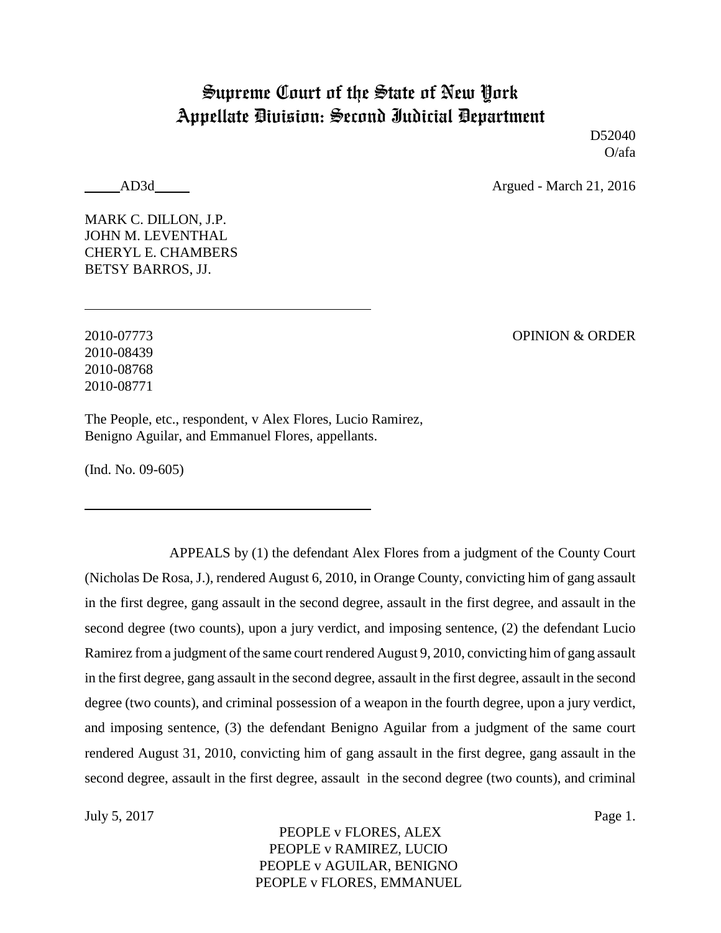# Supreme Court of the State of New York Appellate Division: Second Judicial Department

D52040 O/afa

AD3d Argued - March 21, 2016

MARK C. DILLON, J.P. JOHN M. LEVENTHAL CHERYL E. CHAMBERS BETSY BARROS, JJ.

2010-07773 OPINION & ORDER 2010-08439 2010-08768 2010-08771

The People, etc., respondent, v Alex Flores, Lucio Ramirez, Benigno Aguilar, and Emmanuel Flores, appellants.

(Ind. No. 09-605)

APPEALS by (1) the defendant Alex Flores from a judgment of the County Court (Nicholas De Rosa, J.), rendered August 6, 2010, in Orange County, convicting him of gang assault in the first degree, gang assault in the second degree, assault in the first degree, and assault in the second degree (two counts), upon a jury verdict, and imposing sentence, (2) the defendant Lucio Ramirez from a judgment of the same court rendered August 9, 2010, convicting him of gang assault in the first degree, gang assault in the second degree, assault in the first degree, assault in the second degree (two counts), and criminal possession of a weapon in the fourth degree, upon a jury verdict, and imposing sentence, (3) the defendant Benigno Aguilar from a judgment of the same court rendered August 31, 2010, convicting him of gang assault in the first degree, gang assault in the second degree, assault in the first degree, assault in the second degree (two counts), and criminal

July 5, 2017 Page 1.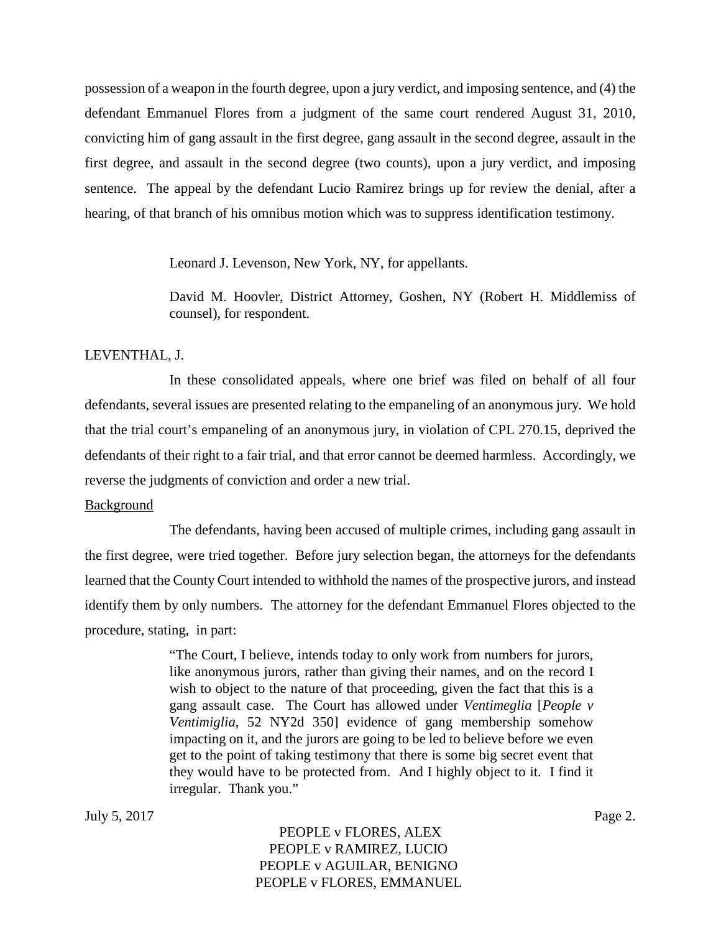possession of a weapon in the fourth degree, upon a jury verdict, and imposing sentence, and (4) the defendant Emmanuel Flores from a judgment of the same court rendered August 31, 2010, convicting him of gang assault in the first degree, gang assault in the second degree, assault in the first degree, and assault in the second degree (two counts), upon a jury verdict, and imposing sentence. The appeal by the defendant Lucio Ramirez brings up for review the denial, after a hearing, of that branch of his omnibus motion which was to suppress identification testimony.

Leonard J. Levenson, New York, NY, for appellants.

David M. Hoovler, District Attorney, Goshen, NY (Robert H. Middlemiss of counsel), for respondent.

#### LEVENTHAL, J.

In these consolidated appeals, where one brief was filed on behalf of all four defendants, several issues are presented relating to the empaneling of an anonymous jury. We hold that the trial court's empaneling of an anonymous jury, in violation of CPL 270.15, deprived the defendants of their right to a fair trial, and that error cannot be deemed harmless. Accordingly, we reverse the judgments of conviction and order a new trial.

#### **Background**

The defendants, having been accused of multiple crimes, including gang assault in the first degree, were tried together. Before jury selection began, the attorneys for the defendants learned that the County Court intended to withhold the names of the prospective jurors, and instead identify them by only numbers. The attorney for the defendant Emmanuel Flores objected to the procedure, stating, in part:

> "The Court, I believe, intends today to only work from numbers for jurors, like anonymous jurors, rather than giving their names, and on the record I wish to object to the nature of that proceeding, given the fact that this is a gang assault case. The Court has allowed under *Ventimeglia* [*People v Ventimiglia*, 52 NY2d 350] evidence of gang membership somehow impacting on it, and the jurors are going to be led to believe before we even get to the point of taking testimony that there is some big secret event that they would have to be protected from. And I highly object to it. I find it irregular. Thank you."

July 5, 2017 Page 2.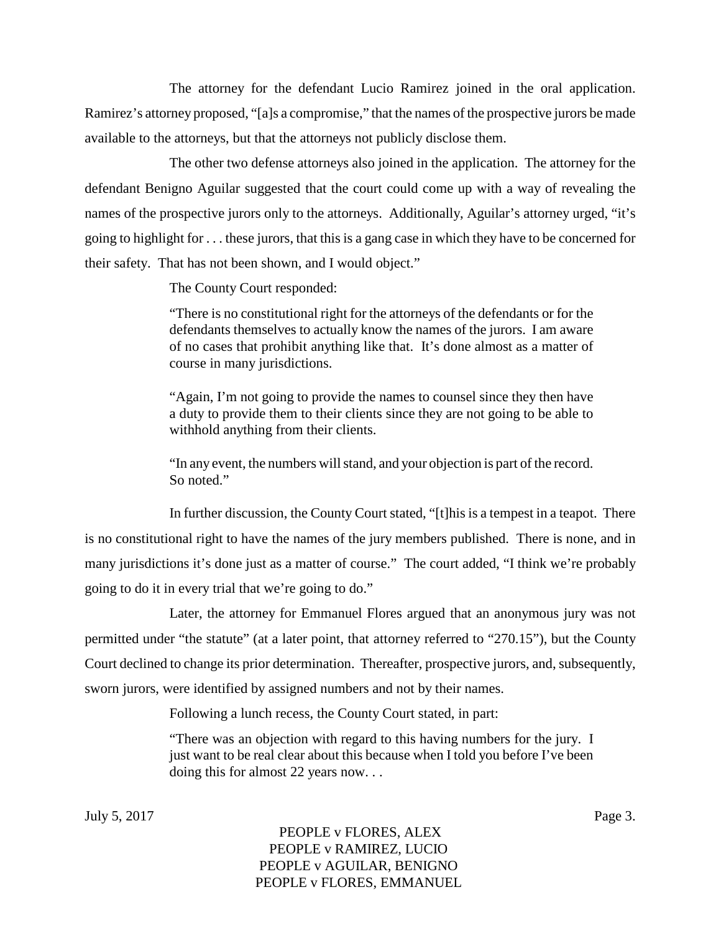The attorney for the defendant Lucio Ramirez joined in the oral application. Ramirez's attorney proposed, "[a]s a compromise," that the names of the prospective jurors be made available to the attorneys, but that the attorneys not publicly disclose them.

The other two defense attorneys also joined in the application. The attorney for the defendant Benigno Aguilar suggested that the court could come up with a way of revealing the names of the prospective jurors only to the attorneys. Additionally, Aguilar's attorney urged, "it's going to highlight for . . . these jurors, that this is a gang case in which they have to be concerned for their safety. That has not been shown, and I would object."

The County Court responded:

"There is no constitutional right for the attorneys of the defendants or for the defendants themselves to actually know the names of the jurors. I am aware of no cases that prohibit anything like that. It's done almost as a matter of course in many jurisdictions.

"Again, I'm not going to provide the names to counsel since they then have a duty to provide them to their clients since they are not going to be able to withhold anything from their clients.

"In any event, the numbers will stand, and your objection is part of the record. So noted."

In further discussion, the County Court stated, "[t]his is a tempest in a teapot. There is no constitutional right to have the names of the jury members published. There is none, and in many jurisdictions it's done just as a matter of course." The court added, "I think we're probably going to do it in every trial that we're going to do."

Later, the attorney for Emmanuel Flores argued that an anonymous jury was not permitted under "the statute" (at a later point, that attorney referred to "270.15"), but the County Court declined to change its prior determination. Thereafter, prospective jurors, and, subsequently, sworn jurors, were identified by assigned numbers and not by their names.

Following a lunch recess, the County Court stated, in part:

"There was an objection with regard to this having numbers for the jury. I just want to be real clear about this because when I told you before I've been doing this for almost 22 years now. . .

July 5, 2017 Page 3.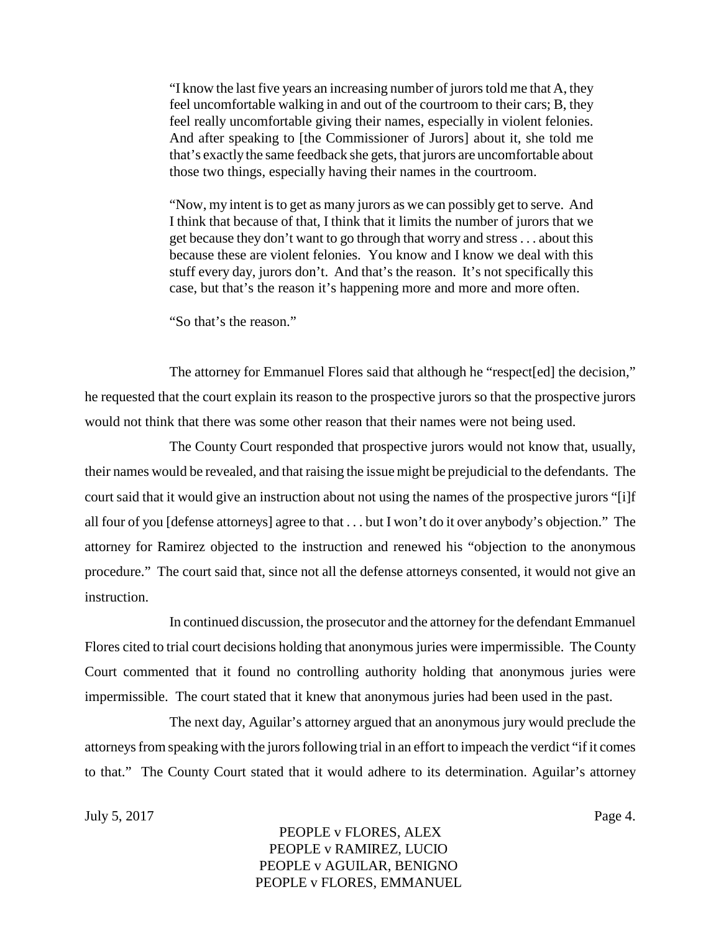"I know the last five years an increasing number of jurors told me that A, they feel uncomfortable walking in and out of the courtroom to their cars; B, they feel really uncomfortable giving their names, especially in violent felonies. And after speaking to [the Commissioner of Jurors] about it, she told me that's exactly the same feedback she gets, that jurors are uncomfortable about those two things, especially having their names in the courtroom.

"Now, my intent is to get as many jurors as we can possibly get to serve. And I think that because of that, I think that it limits the number of jurors that we get because they don't want to go through that worry and stress . . . about this because these are violent felonies. You know and I know we deal with this stuff every day, jurors don't. And that's the reason. It's not specifically this case, but that's the reason it's happening more and more and more often.

"So that's the reason."

The attorney for Emmanuel Flores said that although he "respect[ed] the decision," he requested that the court explain its reason to the prospective jurors so that the prospective jurors would not think that there was some other reason that their names were not being used.

The County Court responded that prospective jurors would not know that, usually, their names would be revealed, and that raising the issue might be prejudicial to the defendants. The court said that it would give an instruction about not using the names of the prospective jurors "[i]f all four of you [defense attorneys] agree to that . . . but I won't do it over anybody's objection." The attorney for Ramirez objected to the instruction and renewed his "objection to the anonymous procedure." The court said that, since not all the defense attorneys consented, it would not give an instruction.

In continued discussion, the prosecutor and the attorney for the defendant Emmanuel Flores cited to trial court decisions holding that anonymous juries were impermissible. The County Court commented that it found no controlling authority holding that anonymous juries were impermissible. The court stated that it knew that anonymous juries had been used in the past.

The next day, Aguilar's attorney argued that an anonymous jury would preclude the attorneys from speaking with the jurors following trial in an effort to impeach the verdict "if it comes to that." The County Court stated that it would adhere to its determination. Aguilar's attorney

July 5, 2017 Page 4.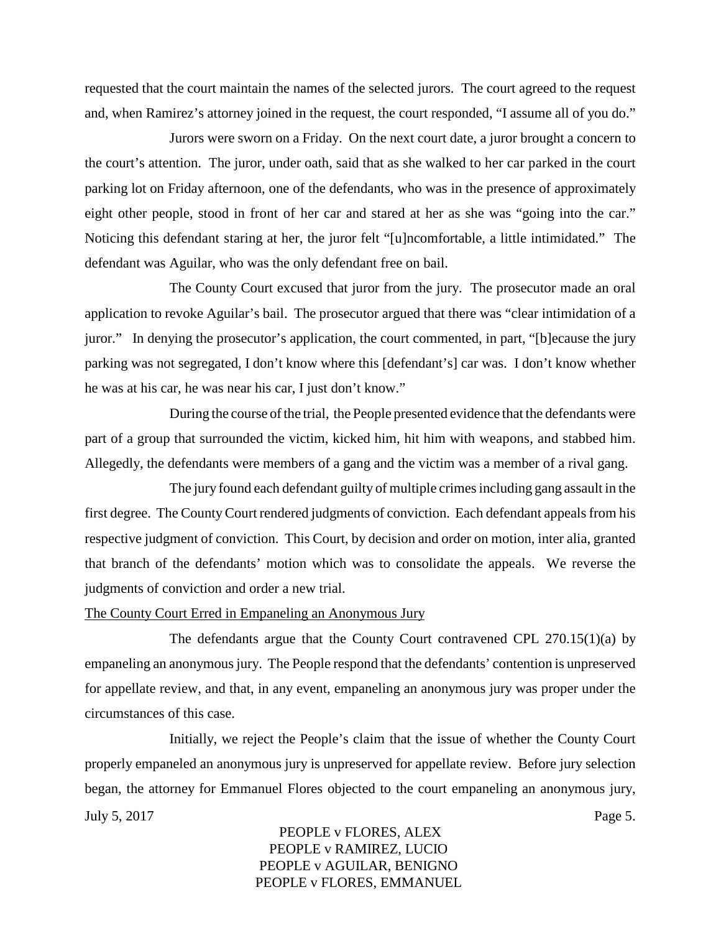requested that the court maintain the names of the selected jurors. The court agreed to the request and, when Ramirez's attorney joined in the request, the court responded, "I assume all of you do."

Jurors were sworn on a Friday. On the next court date, a juror brought a concern to the court's attention. The juror, under oath, said that as she walked to her car parked in the court parking lot on Friday afternoon, one of the defendants, who was in the presence of approximately eight other people, stood in front of her car and stared at her as she was "going into the car." Noticing this defendant staring at her, the juror felt "[u]ncomfortable, a little intimidated." The defendant was Aguilar, who was the only defendant free on bail.

The County Court excused that juror from the jury. The prosecutor made an oral application to revoke Aguilar's bail. The prosecutor argued that there was "clear intimidation of a juror." In denying the prosecutor's application, the court commented, in part, "[b]ecause the jury parking was not segregated, I don't know where this [defendant's] car was. I don't know whether he was at his car, he was near his car, I just don't know."

During the course of the trial, the People presented evidence that the defendants were part of a group that surrounded the victim, kicked him, hit him with weapons, and stabbed him. Allegedly, the defendants were members of a gang and the victim was a member of a rival gang.

The jury found each defendant guilty of multiple crimes including gang assault in the first degree. The County Court rendered judgments of conviction. Each defendant appeals from his respective judgment of conviction. This Court, by decision and order on motion, inter alia, granted that branch of the defendants' motion which was to consolidate the appeals. We reverse the judgments of conviction and order a new trial.

#### The County Court Erred in Empaneling an Anonymous Jury

The defendants argue that the County Court contravened CPL 270.15(1)(a) by empaneling an anonymous jury. The People respond that the defendants' contention is unpreserved for appellate review, and that, in any event, empaneling an anonymous jury was proper under the circumstances of this case.

Initially, we reject the People's claim that the issue of whether the County Court properly empaneled an anonymous jury is unpreserved for appellate review. Before jury selection began, the attorney for Emmanuel Flores objected to the court empaneling an anonymous jury, July 5, 2017 Page 5.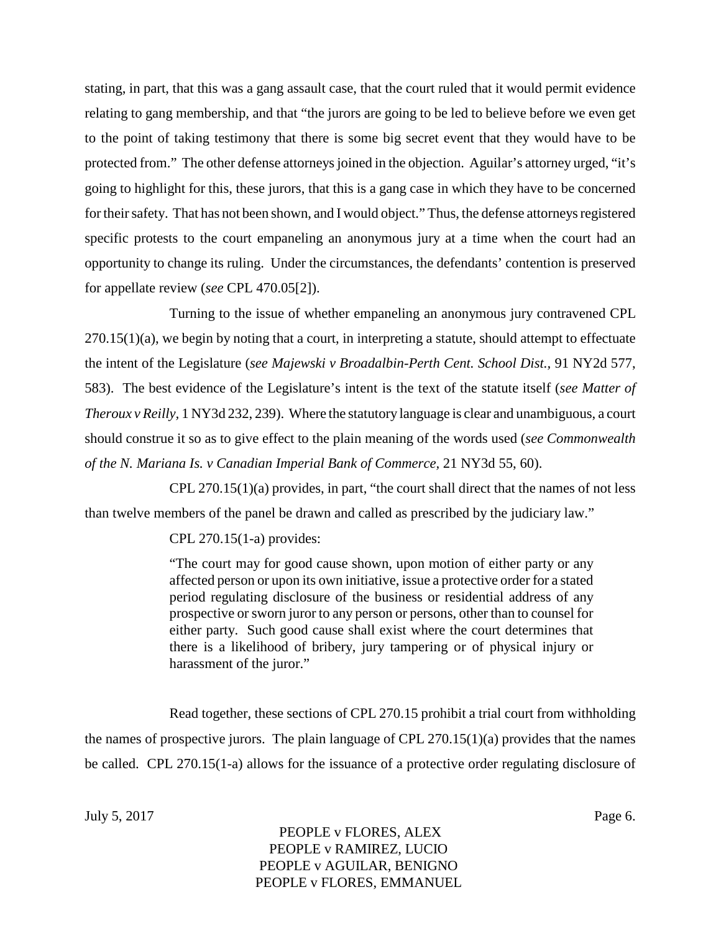stating, in part, that this was a gang assault case, that the court ruled that it would permit evidence relating to gang membership, and that "the jurors are going to be led to believe before we even get to the point of taking testimony that there is some big secret event that they would have to be protected from." The other defense attorneys joined in the objection. Aguilar's attorney urged, "it's going to highlight for this, these jurors, that this is a gang case in which they have to be concerned for their safety. That has not been shown, and I would object." Thus, the defense attorneys registered specific protests to the court empaneling an anonymous jury at a time when the court had an opportunity to change its ruling. Under the circumstances, the defendants' contention is preserved for appellate review (*see* CPL 470.05[2]).

Turning to the issue of whether empaneling an anonymous jury contravened CPL 270.15(1)(a), we begin by noting that a court, in interpreting a statute, should attempt to effectuate the intent of the Legislature (*see Majewski v Broadalbin-Perth Cent. School Dist.,* 91 NY2d 577, 583). The best evidence of the Legislature's intent is the text of the statute itself (*see Matter of Theroux v Reilly,* 1 NY3d 232, 239). Where the statutory language is clear and unambiguous, a court should construe it so as to give effect to the plain meaning of the words used (*see Commonwealth of the N. Mariana Is. v Canadian Imperial Bank of Commerce,* 21 NY3d 55, 60).

 $CPL 270.15(1)(a)$  provides, in part, "the court shall direct that the names of not less than twelve members of the panel be drawn and called as prescribed by the judiciary law."

CPL 270.15(1-a) provides:

"The court may for good cause shown, upon motion of either party or any affected person or upon its own initiative, issue a protective order for a stated period regulating disclosure of the business or residential address of any prospective or sworn juror to any person or persons, other than to counsel for either party. Such good cause shall exist where the court determines that there is a likelihood of bribery, jury tampering or of physical injury or harassment of the juror."

Read together, these sections of CPL 270.15 prohibit a trial court from withholding the names of prospective jurors. The plain language of CPL  $270.15(1)(a)$  provides that the names be called. CPL 270.15(1-a) allows for the issuance of a protective order regulating disclosure of

July 5, 2017 Page 6.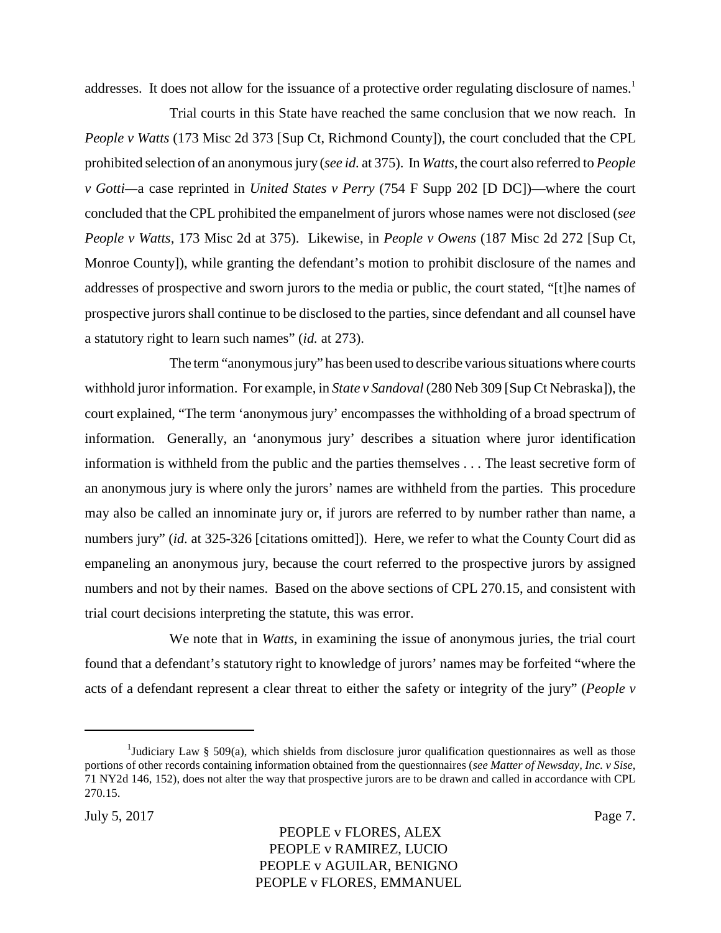addresses. It does not allow for the issuance of a protective order regulating disclosure of names.<sup>1</sup>

Trial courts in this State have reached the same conclusion that we now reach. In *People v Watts* (173 Misc 2d 373 [Sup Ct, Richmond County]), the court concluded that the CPL prohibited selection of an anonymous jury (*see id.* at 375). In *Watts*, the court also referred to *People v Gotti—*a case reprinted in *United States v Perry* (754 F Supp 202 [D DC])—where the court concluded that the CPL prohibited the empanelment of jurors whose names were not disclosed (*see People v Watts,* 173 Misc 2d at 375). Likewise, in *People v Owens* (187 Misc 2d 272 [Sup Ct, Monroe County]), while granting the defendant's motion to prohibit disclosure of the names and addresses of prospective and sworn jurors to the media or public, the court stated, "[t]he names of prospective jurors shall continue to be disclosed to the parties, since defendant and all counsel have a statutory right to learn such names" (*id.* at 273).

The term "anonymous jury" has been used to describe various situations where courts withhold juror information. For example, in *State v Sandoval* (280 Neb 309 [Sup Ct Nebraska]), the court explained, "The term 'anonymous jury' encompasses the withholding of a broad spectrum of information. Generally, an 'anonymous jury' describes a situation where juror identification information is withheld from the public and the parties themselves . . . The least secretive form of an anonymous jury is where only the jurors' names are withheld from the parties. This procedure may also be called an innominate jury or, if jurors are referred to by number rather than name, a numbers jury" *(id.* at 325-326 [citations omitted]). Here, we refer to what the County Court did as empaneling an anonymous jury, because the court referred to the prospective jurors by assigned numbers and not by their names. Based on the above sections of CPL 270.15, and consistent with trial court decisions interpreting the statute, this was error.

We note that in *Watts*, in examining the issue of anonymous juries, the trial court found that a defendant's statutory right to knowledge of jurors' names may be forfeited "where the acts of a defendant represent a clear threat to either the safety or integrity of the jury" (*People v*

<sup>&</sup>lt;sup>1</sup>Judiciary Law § 509(a), which shields from disclosure juror qualification questionnaires as well as those portions of other records containing information obtained from the questionnaires (*see Matter of Newsday, Inc. v Sise*, 71 NY2d 146, 152), does not alter the way that prospective jurors are to be drawn and called in accordance with CPL 270.15.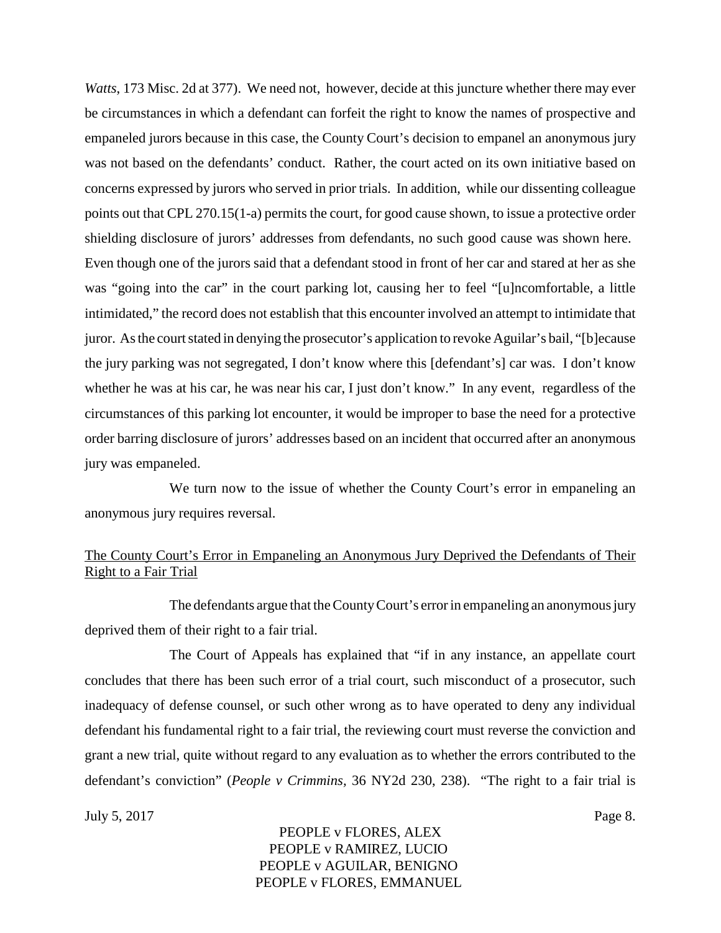*Watts*, 173 Misc. 2d at 377). We need not, however, decide at this juncture whether there may ever be circumstances in which a defendant can forfeit the right to know the names of prospective and empaneled jurors because in this case, the County Court's decision to empanel an anonymous jury was not based on the defendants' conduct. Rather, the court acted on its own initiative based on concerns expressed by jurors who served in prior trials. In addition, while our dissenting colleague points out that CPL 270.15(1-a) permits the court, for good cause shown, to issue a protective order shielding disclosure of jurors' addresses from defendants, no such good cause was shown here. Even though one of the jurors said that a defendant stood in front of her car and stared at her as she was "going into the car" in the court parking lot, causing her to feel "[u]ncomfortable, a little intimidated," the record does not establish that this encounter involved an attempt to intimidate that juror. As the court stated in denying the prosecutor's application to revoke Aguilar's bail, "[b]ecause the jury parking was not segregated, I don't know where this [defendant's] car was. I don't know whether he was at his car, he was near his car, I just don't know." In any event, regardless of the circumstances of this parking lot encounter, it would be improper to base the need for a protective order barring disclosure of jurors' addresses based on an incident that occurred after an anonymous jury was empaneled.

We turn now to the issue of whether the County Court's error in empaneling an anonymous jury requires reversal.

# The County Court's Error in Empaneling an Anonymous Jury Deprived the Defendants of Their Right to a Fair Trial

The defendants argue that the County Court's error in empaneling an anonymous jury deprived them of their right to a fair trial.

The Court of Appeals has explained that "if in any instance, an appellate court concludes that there has been such error of a trial court, such misconduct of a prosecutor, such inadequacy of defense counsel, or such other wrong as to have operated to deny any individual defendant his fundamental right to a fair trial, the reviewing court must reverse the conviction and grant a new trial, quite without regard to any evaluation as to whether the errors contributed to the defendant's conviction" (*People v Crimmins,* 36 NY2d 230, 238). "The right to a fair trial is

July 5, 2017 Page 8.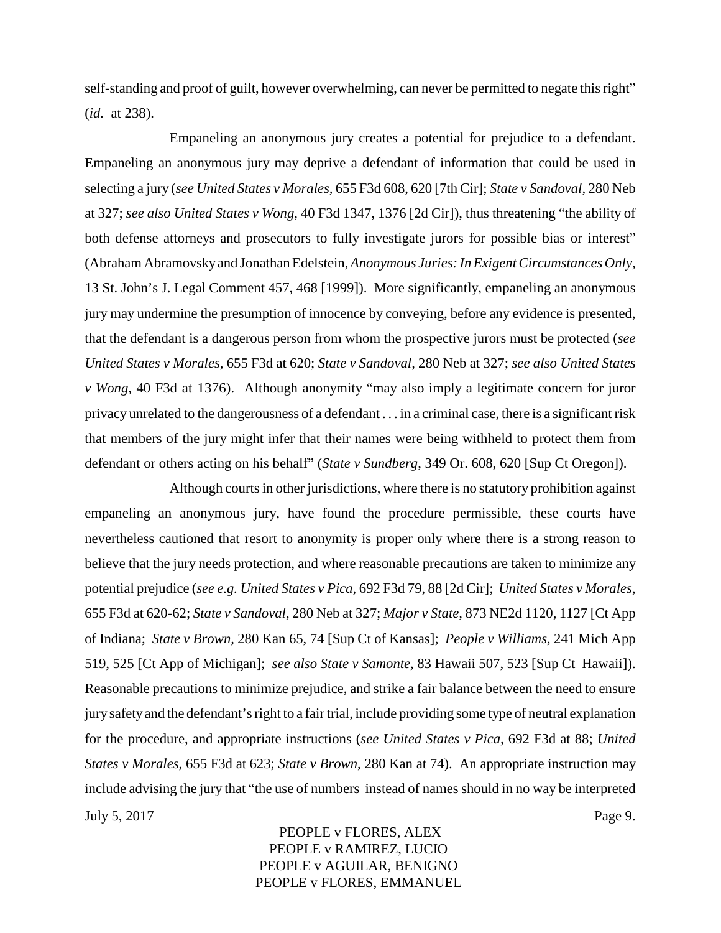self-standing and proof of guilt, however overwhelming, can never be permitted to negate this right" (*id.* at 238).

Empaneling an anonymous jury creates a potential for prejudice to a defendant. Empaneling an anonymous jury may deprive a defendant of information that could be used in selecting a jury (*see United States v Morales,* 655 F3d 608, 620 [7th Cir]; *State v Sandoval,* 280 Neb at 327; *see also United States v Wong,* 40 F3d 1347, 1376 [2d Cir]), thus threatening "the ability of both defense attorneys and prosecutors to fully investigate jurors for possible bias or interest" (Abraham Abramovskyand Jonathan Edelstein,*Anonymous Juries: In Exigent Circumstances Only*, 13 St. John's J. Legal Comment 457, 468 [1999]). More significantly, empaneling an anonymous jury may undermine the presumption of innocence by conveying, before any evidence is presented, that the defendant is a dangerous person from whom the prospective jurors must be protected (*see United States v Morales,* 655 F3d at 620; *State v Sandoval,* 280 Neb at 327; *see also United States v Wong,* 40 F3d at 1376). Although anonymity "may also imply a legitimate concern for juror privacy unrelated to the dangerousness of a defendant . . . in a criminal case, there is a significant risk that members of the jury might infer that their names were being withheld to protect them from defendant or others acting on his behalf" (*State v Sundberg*, 349 Or. 608, 620 [Sup Ct Oregon]).

Although courts in other jurisdictions, where there is no statutory prohibition against empaneling an anonymous jury, have found the procedure permissible, these courts have nevertheless cautioned that resort to anonymity is proper only where there is a strong reason to believe that the jury needs protection, and where reasonable precautions are taken to minimize any potential prejudice (*see e.g. United States v Pica,* 692 F3d 79, 88 [2d Cir]; *United States v Morales,* 655 F3d at 620-62; *State v Sandoval,* 280 Neb at 327; *Major v State,* 873 NE2d 1120, 1127 [Ct App of Indiana; *State v Brown,* 280 Kan 65, 74 [Sup Ct of Kansas]; *People v Williams,* 241 Mich App 519, 525 [Ct App of Michigan]; *see also State v Samonte,* 83 Hawaii 507, 523 [Sup Ct Hawaii]). Reasonable precautions to minimize prejudice, and strike a fair balance between the need to ensure jury safetyand the defendant's right to a fair trial, include providing some type of neutral explanation for the procedure, and appropriate instructions (*see United States v Pica,* 692 F3d at 88; *United States v Morales*, 655 F3d at 623; *State v Brown*, 280 Kan at 74). An appropriate instruction may include advising the jury that "the use of numbers instead of names should in no way be interpreted July 5, 2017 Page 9.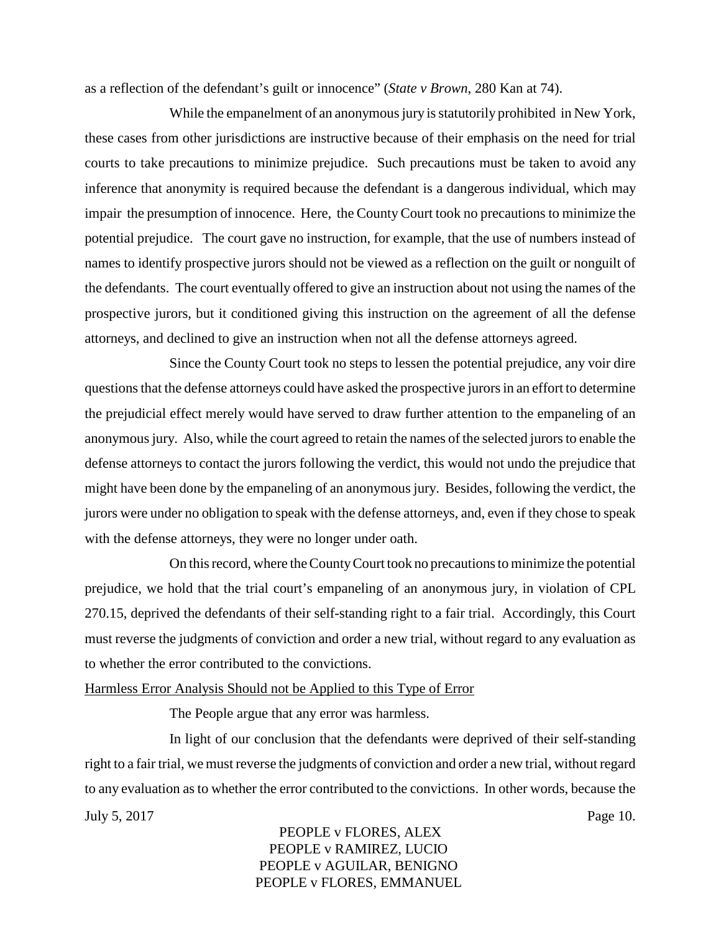as a reflection of the defendant's guilt or innocence" (*State v Brown*, 280 Kan at 74).

While the empanelment of an anonymous jury is statutorily prohibited in New York, these cases from other jurisdictions are instructive because of their emphasis on the need for trial courts to take precautions to minimize prejudice. Such precautions must be taken to avoid any inference that anonymity is required because the defendant is a dangerous individual, which may impair the presumption of innocence. Here, the County Court took no precautions to minimize the potential prejudice. The court gave no instruction, for example, that the use of numbers instead of names to identify prospective jurors should not be viewed as a reflection on the guilt or nonguilt of the defendants. The court eventually offered to give an instruction about not using the names of the prospective jurors, but it conditioned giving this instruction on the agreement of all the defense attorneys, and declined to give an instruction when not all the defense attorneys agreed.

Since the County Court took no steps to lessen the potential prejudice, any voir dire questions that the defense attorneys could have asked the prospective jurors in an effort to determine the prejudicial effect merely would have served to draw further attention to the empaneling of an anonymous jury. Also, while the court agreed to retain the names of the selected jurors to enable the defense attorneys to contact the jurors following the verdict, this would not undo the prejudice that might have been done by the empaneling of an anonymous jury. Besides, following the verdict, the jurors were under no obligation to speak with the defense attorneys, and, even if they chose to speak with the defense attorneys, they were no longer under oath.

On this record, where the CountyCourt took no precautions to minimize the potential prejudice, we hold that the trial court's empaneling of an anonymous jury, in violation of CPL 270.15, deprived the defendants of their self-standing right to a fair trial. Accordingly, this Court must reverse the judgments of conviction and order a new trial, without regard to any evaluation as to whether the error contributed to the convictions.

#### Harmless Error Analysis Should not be Applied to this Type of Error

The People argue that any error was harmless.

In light of our conclusion that the defendants were deprived of their self-standing right to a fair trial, we must reverse the judgments of conviction and order a new trial, without regard to any evaluation as to whether the error contributed to the convictions. In other words, because the July 5, 2017 Page 10.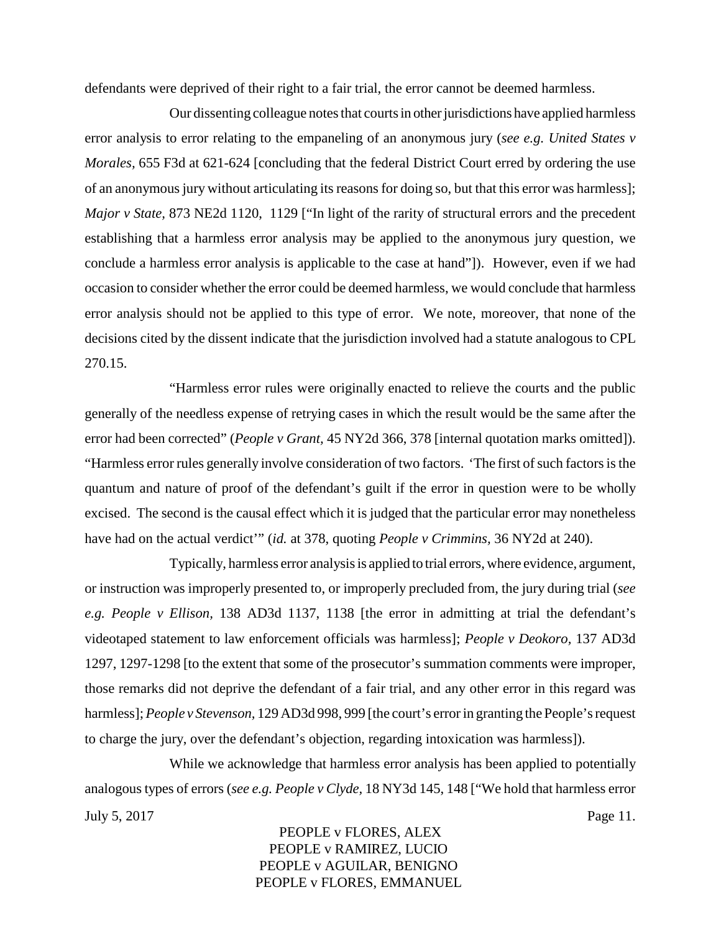defendants were deprived of their right to a fair trial, the error cannot be deemed harmless.

Our dissenting colleague notes that courts in other jurisdictions have applied harmless error analysis to error relating to the empaneling of an anonymous jury (*see e.g. United States v Morales,* 655 F3d at 621-624 [concluding that the federal District Court erred by ordering the use of an anonymous jury without articulating its reasons for doing so, but that this error was harmless]; *Major v State,* 873 NE2d 1120, 1129 ["In light of the rarity of structural errors and the precedent establishing that a harmless error analysis may be applied to the anonymous jury question, we conclude a harmless error analysis is applicable to the case at hand"]). However, even if we had occasion to consider whether the error could be deemed harmless, we would conclude that harmless error analysis should not be applied to this type of error. We note, moreover, that none of the decisions cited by the dissent indicate that the jurisdiction involved had a statute analogous to CPL 270.15.

"Harmless error rules were originally enacted to relieve the courts and the public generally of the needless expense of retrying cases in which the result would be the same after the error had been corrected" (*People v Grant,* 45 NY2d 366, 378 [internal quotation marks omitted]). "Harmless error rules generally involve consideration of two factors. 'The first of such factors is the quantum and nature of proof of the defendant's guilt if the error in question were to be wholly excised. The second is the causal effect which it is judged that the particular error may nonetheless have had on the actual verdict'" (*id.* at 378, quoting *People v Crimmins,* 36 NY2d at 240).

Typically, harmless error analysis is applied to trial errors, where evidence, argument, or instruction was improperly presented to, or improperly precluded from, the jury during trial (*see e.g. People v Ellison,* 138 AD3d 1137, 1138 [the error in admitting at trial the defendant's videotaped statement to law enforcement officials was harmless]; *People v Deokoro,* 137 AD3d 1297, 1297-1298 [to the extent that some of the prosecutor's summation comments were improper, those remarks did not deprive the defendant of a fair trial, and any other error in this regard was harmless];*People v Stevenson,* 129 AD3d 998, 999 [the court's error in granting the People's request to charge the jury, over the defendant's objection, regarding intoxication was harmless]).

While we acknowledge that harmless error analysis has been applied to potentially analogous types of errors (*see e.g. People v Clyde,* 18 NY3d 145, 148 ["We hold that harmless error July 5, 2017 Page 11.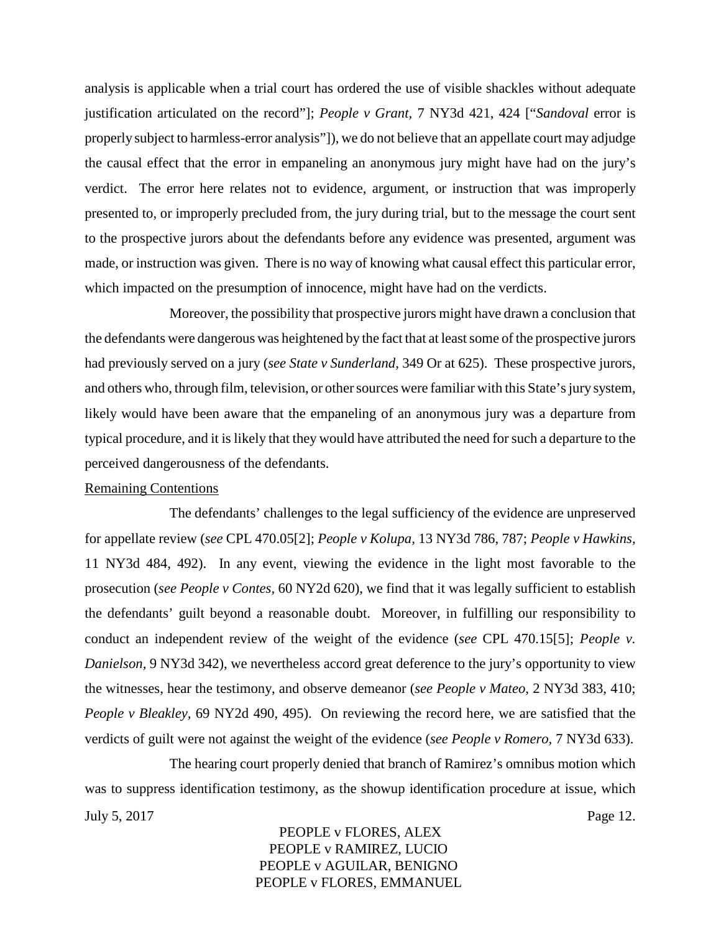analysis is applicable when a trial court has ordered the use of visible shackles without adequate justification articulated on the record"]; *People v Grant,* 7 NY3d 421, 424 ["*Sandoval* error is properly subject to harmless-error analysis"]), we do not believe that an appellate court may adjudge the causal effect that the error in empaneling an anonymous jury might have had on the jury's verdict. The error here relates not to evidence, argument, or instruction that was improperly presented to, or improperly precluded from, the jury during trial, but to the message the court sent to the prospective jurors about the defendants before any evidence was presented, argument was made, or instruction was given. There is no way of knowing what causal effect this particular error, which impacted on the presumption of innocence, might have had on the verdicts.

Moreover, the possibility that prospective jurors might have drawn a conclusion that the defendants were dangerous was heightened by the fact that at least some of the prospective jurors had previously served on a jury (*see State v Sunderland*, 349 Or at 625). These prospective jurors, and others who, through film, television, or other sources were familiar with this State's jury system, likely would have been aware that the empaneling of an anonymous jury was a departure from typical procedure, and it is likely that they would have attributed the need for such a departure to the perceived dangerousness of the defendants.

#### Remaining Contentions

The defendants' challenges to the legal sufficiency of the evidence are unpreserved for appellate review (*see* CPL 470.05[2]; *People v Kolupa,* 13 NY3d 786, 787; *People v Hawkins,* 11 NY3d 484, 492). In any event, viewing the evidence in the light most favorable to the prosecution (*see People v Contes,* 60 NY2d 620), we find that it was legally sufficient to establish the defendants' guilt beyond a reasonable doubt. Moreover, in fulfilling our responsibility to conduct an independent review of the weight of the evidence (*see* CPL 470.15[5]; *People v. Danielson,* 9 NY3d 342), we nevertheless accord great deference to the jury's opportunity to view the witnesses, hear the testimony, and observe demeanor (*see People v Mateo,* 2 NY3d 383, 410; *People v Bleakley,* 69 NY2d 490, 495). On reviewing the record here, we are satisfied that the verdicts of guilt were not against the weight of the evidence (*see People v Romero,* 7 NY3d 633).

The hearing court properly denied that branch of Ramirez's omnibus motion which was to suppress identification testimony, as the showup identification procedure at issue, which July 5, 2017 Page 12.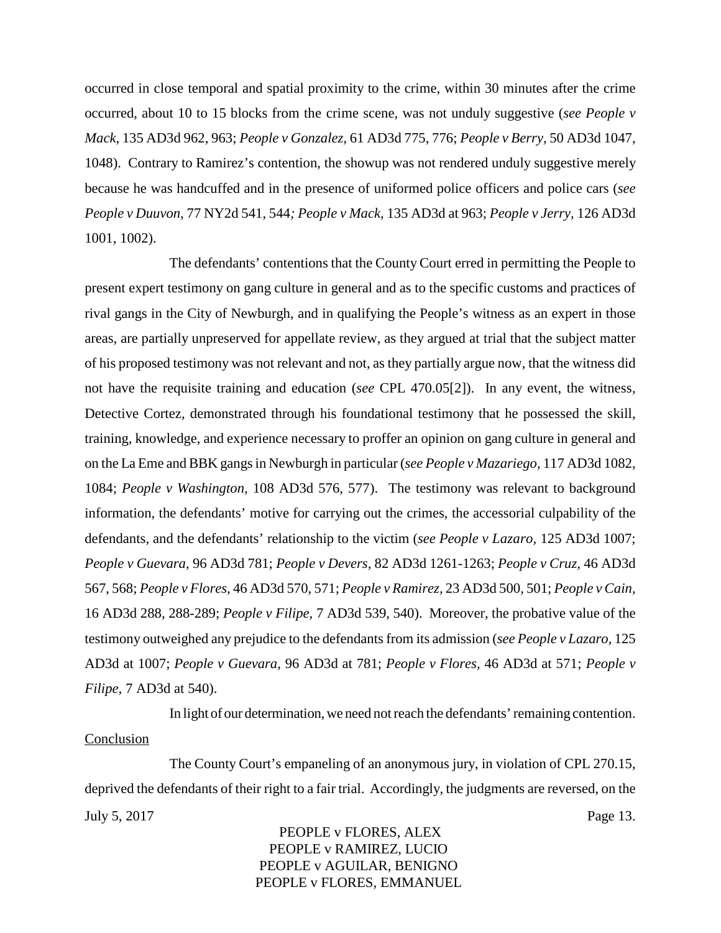occurred in close temporal and spatial proximity to the crime, within 30 minutes after the crime occurred, about 10 to 15 blocks from the crime scene, was not unduly suggestive (*see People v Mack,* 135 AD3d 962, 963; *People v Gonzalez,* 61 AD3d 775, 776; *People v Berry,* 50 AD3d 1047, 1048). Contrary to Ramirez's contention, the showup was not rendered unduly suggestive merely because he was handcuffed and in the presence of uniformed police officers and police cars (*see People v Duuvon,* 77 NY2d 541, 544*; People v Mack,* 135 AD3d at 963; *People v Jerry,* 126 AD3d 1001, 1002).

The defendants' contentions that the County Court erred in permitting the People to present expert testimony on gang culture in general and as to the specific customs and practices of rival gangs in the City of Newburgh, and in qualifying the People's witness as an expert in those areas, are partially unpreserved for appellate review, as they argued at trial that the subject matter of his proposed testimony was not relevant and not, as they partially argue now, that the witness did not have the requisite training and education (*see* CPL 470.05[2]). In any event, the witness, Detective Cortez, demonstrated through his foundational testimony that he possessed the skill, training, knowledge, and experience necessary to proffer an opinion on gang culture in general and on the La Eme and BBK gangs in Newburgh in particular (*see People v Mazariego,* 117 AD3d 1082, 1084; *People v Washington,* 108 AD3d 576, 577). The testimony was relevant to background information, the defendants' motive for carrying out the crimes, the accessorial culpability of the defendants, and the defendants' relationship to the victim (*see People v Lazaro,* 125 AD3d 1007; *People v Guevara,* 96 AD3d 781; *People v Devers,* 82 AD3d 1261-1263; *People v Cruz,* 46 AD3d 567, 568; *People v Flores,* 46 AD3d 570, 571; *People v Ramirez,* 23 AD3d 500, 501; *People v Cain,* 16 AD3d 288, 288-289; *People v Filipe,* 7 AD3d 539, 540). Moreover, the probative value of the testimony outweighed any prejudice to the defendants from its admission (*see People v Lazaro,* 125 AD3d at 1007; *People v Guevara,* 96 AD3d at 781; *People v Flores,* 46 AD3d at 571; *People v Filipe,* 7 AD3d at 540).

In light of our determination, we need not reach the defendants' remaining contention.

#### **Conclusion**

The County Court's empaneling of an anonymous jury, in violation of CPL 270.15, deprived the defendants of their right to a fair trial. Accordingly, the judgments are reversed, on the July 5, 2017 Page 13.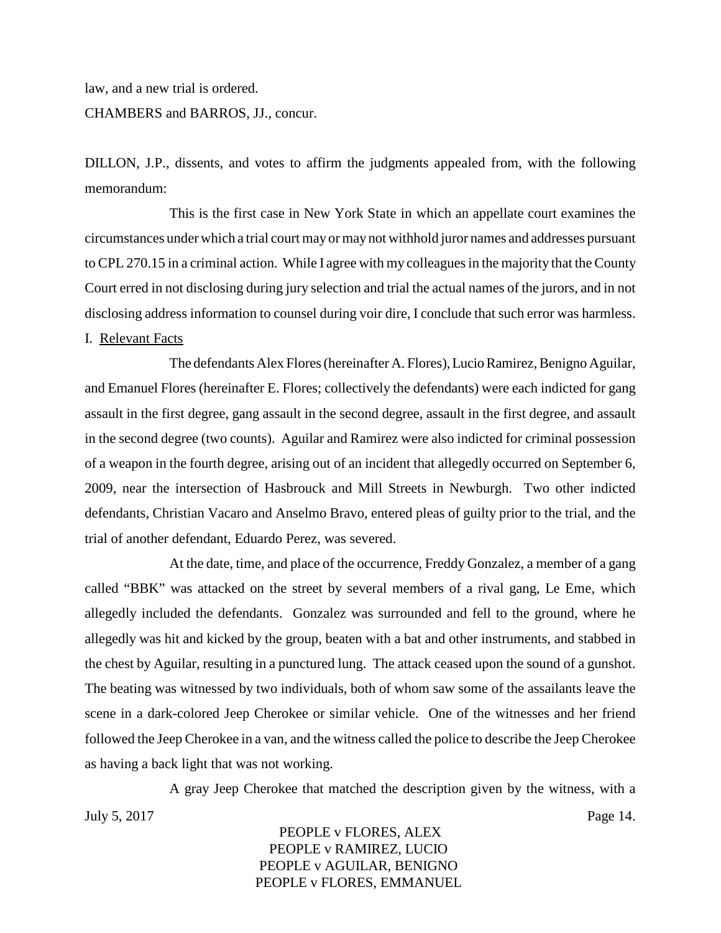law, and a new trial is ordered.

#### CHAMBERS and BARROS, JJ., concur.

DILLON, J.P., dissents, and votes to affirm the judgments appealed from, with the following memorandum:

This is the first case in New York State in which an appellate court examines the circumstances under which a trial court may or maynot withhold juror names and addresses pursuant to CPL 270.15 in a criminal action. While I agree with my colleagues in the majority that the County Court erred in not disclosing during jury selection and trial the actual names of the jurors, and in not disclosing address information to counsel during voir dire, I conclude that such error was harmless.

#### I. Relevant Facts

The defendants Alex Flores (hereinafter A. Flores), Lucio Ramirez, Benigno Aguilar, and Emanuel Flores (hereinafter E. Flores; collectively the defendants) were each indicted for gang assault in the first degree, gang assault in the second degree, assault in the first degree, and assault in the second degree (two counts). Aguilar and Ramirez were also indicted for criminal possession of a weapon in the fourth degree, arising out of an incident that allegedly occurred on September 6, 2009, near the intersection of Hasbrouck and Mill Streets in Newburgh. Two other indicted defendants, Christian Vacaro and Anselmo Bravo, entered pleas of guilty prior to the trial, and the trial of another defendant, Eduardo Perez, was severed.

At the date, time, and place of the occurrence, Freddy Gonzalez, a member of a gang called "BBK" was attacked on the street by several members of a rival gang, Le Eme, which allegedly included the defendants. Gonzalez was surrounded and fell to the ground, where he allegedly was hit and kicked by the group, beaten with a bat and other instruments, and stabbed in the chest by Aguilar, resulting in a punctured lung. The attack ceased upon the sound of a gunshot. The beating was witnessed by two individuals, both of whom saw some of the assailants leave the scene in a dark-colored Jeep Cherokee or similar vehicle. One of the witnesses and her friend followed the Jeep Cherokee in a van, and the witness called the police to describe the Jeep Cherokee as having a back light that was not working.

A gray Jeep Cherokee that matched the description given by the witness, with a July 5, 2017 Page 14.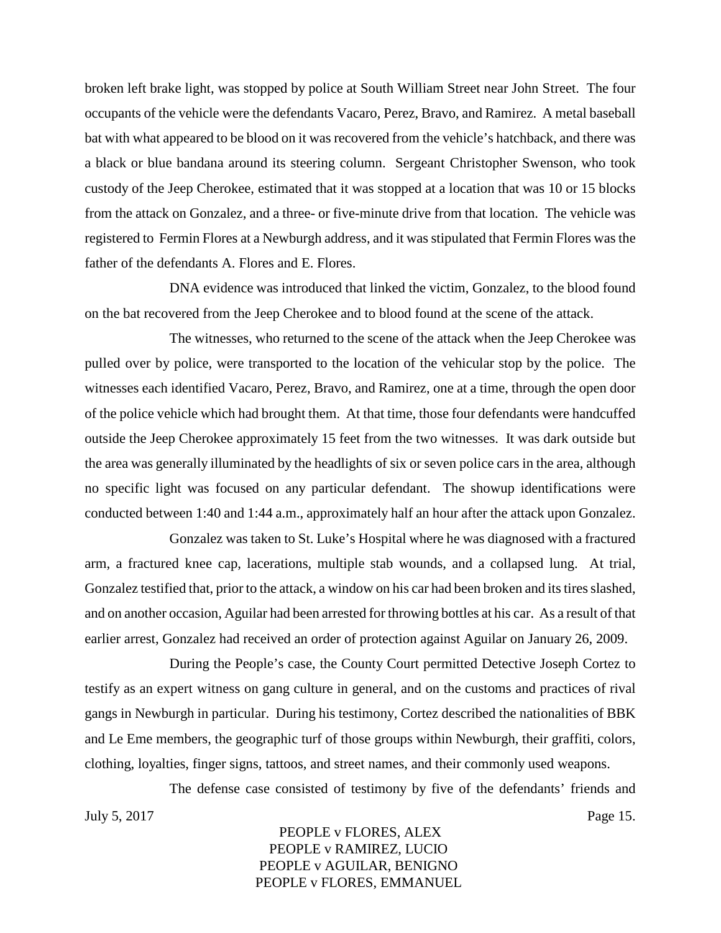broken left brake light, was stopped by police at South William Street near John Street. The four occupants of the vehicle were the defendants Vacaro, Perez, Bravo, and Ramirez. A metal baseball bat with what appeared to be blood on it was recovered from the vehicle's hatchback, and there was a black or blue bandana around its steering column. Sergeant Christopher Swenson, who took custody of the Jeep Cherokee, estimated that it was stopped at a location that was 10 or 15 blocks from the attack on Gonzalez, and a three- or five-minute drive from that location. The vehicle was registered to Fermin Flores at a Newburgh address, and it was stipulated that Fermin Flores was the father of the defendants A. Flores and E. Flores.

DNA evidence was introduced that linked the victim, Gonzalez, to the blood found on the bat recovered from the Jeep Cherokee and to blood found at the scene of the attack.

The witnesses, who returned to the scene of the attack when the Jeep Cherokee was pulled over by police, were transported to the location of the vehicular stop by the police. The witnesses each identified Vacaro, Perez, Bravo, and Ramirez, one at a time, through the open door of the police vehicle which had brought them. At that time, those four defendants were handcuffed outside the Jeep Cherokee approximately 15 feet from the two witnesses. It was dark outside but the area was generally illuminated by the headlights of six or seven police cars in the area, although no specific light was focused on any particular defendant. The showup identifications were conducted between 1:40 and 1:44 a.m., approximately half an hour after the attack upon Gonzalez.

Gonzalez was taken to St. Luke's Hospital where he was diagnosed with a fractured arm, a fractured knee cap, lacerations, multiple stab wounds, and a collapsed lung. At trial, Gonzalez testified that, prior to the attack, a window on his car had been broken and its tires slashed, and on another occasion, Aguilar had been arrested for throwing bottles at his car. As a result of that earlier arrest, Gonzalez had received an order of protection against Aguilar on January 26, 2009.

During the People's case, the County Court permitted Detective Joseph Cortez to testify as an expert witness on gang culture in general, and on the customs and practices of rival gangs in Newburgh in particular. During his testimony, Cortez described the nationalities of BBK and Le Eme members, the geographic turf of those groups within Newburgh, their graffiti, colors, clothing, loyalties, finger signs, tattoos, and street names, and their commonly used weapons.

The defense case consisted of testimony by five of the defendants' friends and July 5, 2017 Page 15.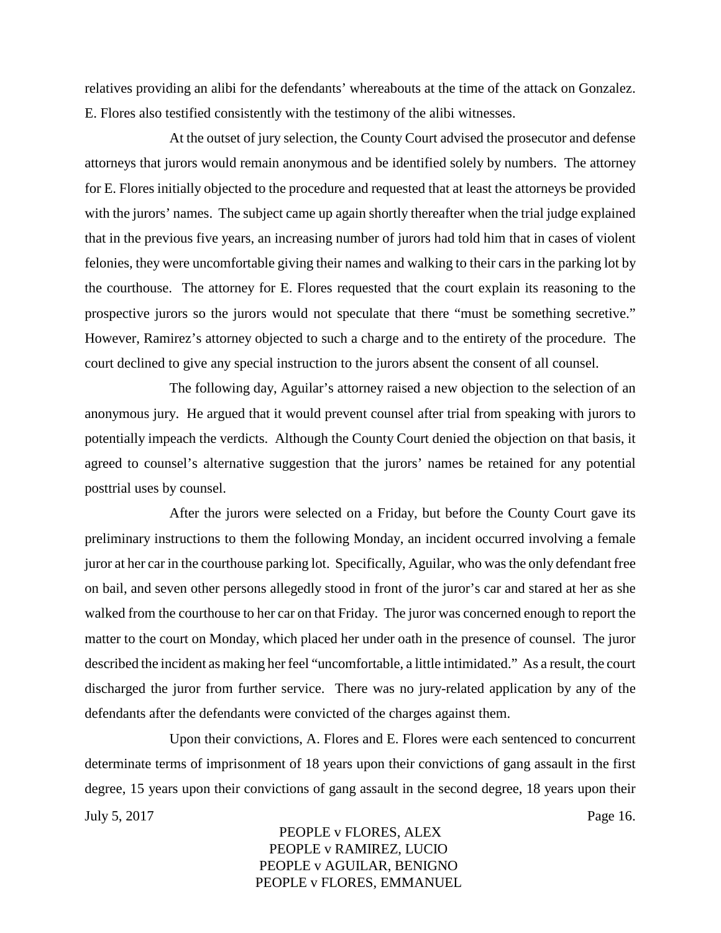relatives providing an alibi for the defendants' whereabouts at the time of the attack on Gonzalez. E. Flores also testified consistently with the testimony of the alibi witnesses.

At the outset of jury selection, the County Court advised the prosecutor and defense attorneys that jurors would remain anonymous and be identified solely by numbers. The attorney for E. Flores initially objected to the procedure and requested that at least the attorneys be provided with the jurors' names. The subject came up again shortly thereafter when the trial judge explained that in the previous five years, an increasing number of jurors had told him that in cases of violent felonies, they were uncomfortable giving their names and walking to their cars in the parking lot by the courthouse. The attorney for E. Flores requested that the court explain its reasoning to the prospective jurors so the jurors would not speculate that there "must be something secretive." However, Ramirez's attorney objected to such a charge and to the entirety of the procedure. The court declined to give any special instruction to the jurors absent the consent of all counsel.

The following day, Aguilar's attorney raised a new objection to the selection of an anonymous jury. He argued that it would prevent counsel after trial from speaking with jurors to potentially impeach the verdicts. Although the County Court denied the objection on that basis, it agreed to counsel's alternative suggestion that the jurors' names be retained for any potential posttrial uses by counsel.

After the jurors were selected on a Friday, but before the County Court gave its preliminary instructions to them the following Monday, an incident occurred involving a female juror at her car in the courthouse parking lot. Specifically, Aguilar, who was the only defendant free on bail, and seven other persons allegedly stood in front of the juror's car and stared at her as she walked from the courthouse to her car on that Friday. The juror was concerned enough to report the matter to the court on Monday, which placed her under oath in the presence of counsel. The juror described the incident as making her feel "uncomfortable, a little intimidated." As a result, the court discharged the juror from further service. There was no jury-related application by any of the defendants after the defendants were convicted of the charges against them.

Upon their convictions, A. Flores and E. Flores were each sentenced to concurrent determinate terms of imprisonment of 18 years upon their convictions of gang assault in the first degree, 15 years upon their convictions of gang assault in the second degree, 18 years upon their July 5, 2017 Page 16.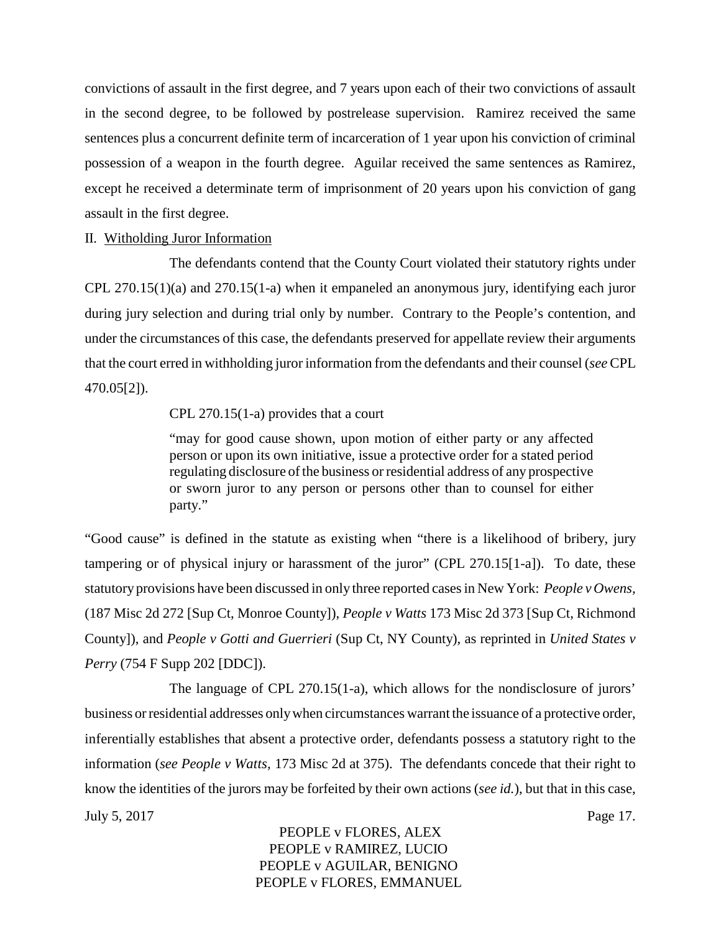convictions of assault in the first degree, and 7 years upon each of their two convictions of assault in the second degree, to be followed by postrelease supervision. Ramirez received the same sentences plus a concurrent definite term of incarceration of 1 year upon his conviction of criminal possession of a weapon in the fourth degree. Aguilar received the same sentences as Ramirez, except he received a determinate term of imprisonment of 20 years upon his conviction of gang assault in the first degree.

#### II. Witholding Juror Information

The defendants contend that the County Court violated their statutory rights under CPL 270.15(1)(a) and 270.15(1-a) when it empaneled an anonymous jury, identifying each juror during jury selection and during trial only by number. Contrary to the People's contention, and under the circumstances of this case, the defendants preserved for appellate review their arguments that the court erred in withholding juror information from the defendants and their counsel (*see* CPL 470.05[2]).

CPL 270.15(1-a) provides that a court

"may for good cause shown, upon motion of either party or any affected person or upon its own initiative, issue a protective order for a stated period regulating disclosure of the business or residential address of any prospective or sworn juror to any person or persons other than to counsel for either party."

"Good cause" is defined in the statute as existing when "there is a likelihood of bribery, jury tampering or of physical injury or harassment of the juror" (CPL 270.15[1-a]). To date, these statutory provisions have been discussed in only three reported cases in New York: *People v Owens,* (187 Misc 2d 272 [Sup Ct, Monroe County]), *People v Watts* 173 Misc 2d 373 [Sup Ct, Richmond County]), and *People v Gotti and Guerrieri* (Sup Ct, NY County), as reprinted in *United States v Perry* (754 F Supp 202 [DDC]).

The language of CPL 270.15(1-a), which allows for the nondisclosure of jurors' business or residential addresses onlywhen circumstances warrant the issuance of a protective order, inferentially establishes that absent a protective order, defendants possess a statutory right to the information (*see People v Watts,* 173 Misc 2d at 375). The defendants concede that their right to know the identities of the jurors may be forfeited by their own actions (*see id.*), but that in this case, July 5, 2017 Page 17.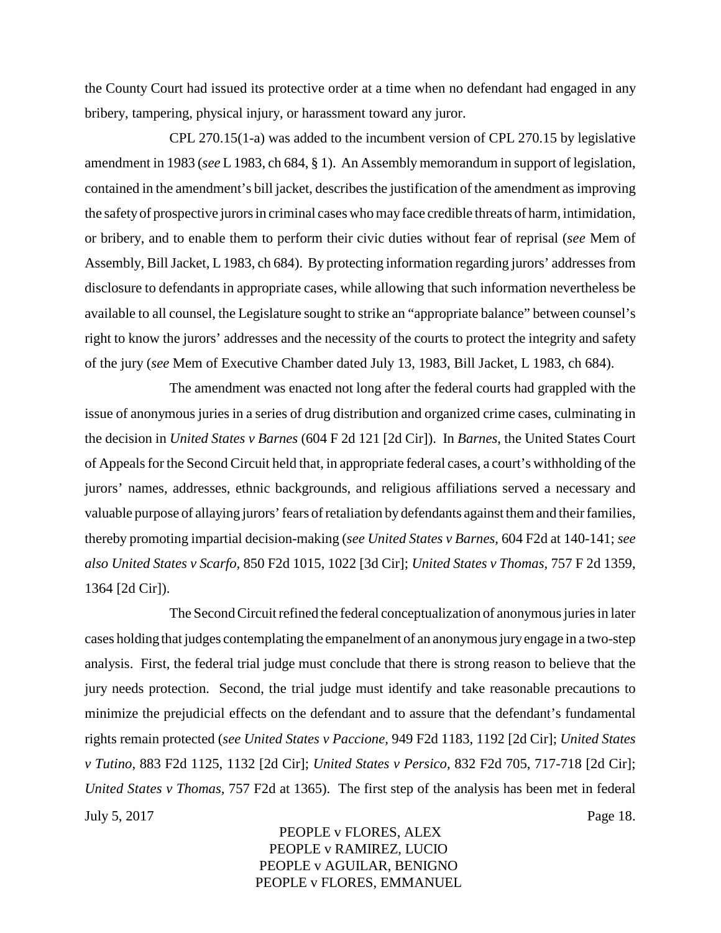the County Court had issued its protective order at a time when no defendant had engaged in any bribery, tampering, physical injury, or harassment toward any juror.

CPL 270.15(1-a) was added to the incumbent version of CPL 270.15 by legislative amendment in 1983 (*see* L 1983, ch 684, § 1). An Assembly memorandum in support of legislation, contained in the amendment's bill jacket, describes the justification of the amendment as improving the safetyof prospective jurors in criminal cases who mayface credible threats of harm, intimidation, or bribery, and to enable them to perform their civic duties without fear of reprisal (*see* Mem of Assembly, Bill Jacket, L 1983, ch 684). By protecting information regarding jurors' addresses from disclosure to defendants in appropriate cases, while allowing that such information nevertheless be available to all counsel, the Legislature sought to strike an "appropriate balance" between counsel's right to know the jurors' addresses and the necessity of the courts to protect the integrity and safety of the jury (*see* Mem of Executive Chamber dated July 13, 1983, Bill Jacket, L 1983, ch 684).

The amendment was enacted not long after the federal courts had grappled with the issue of anonymous juries in a series of drug distribution and organized crime cases, culminating in the decision in *United States v Barnes* (604 F 2d 121 [2d Cir]). In *Barnes*, the United States Court of Appeals for the Second Circuit held that, in appropriate federal cases, a court's withholding of the jurors' names, addresses, ethnic backgrounds, and religious affiliations served a necessary and valuable purpose of allaying jurors' fears of retaliation by defendants against them and their families, thereby promoting impartial decision-making (*see United States v Barnes,* 604 F2d at 140-141; *see also United States v Scarfo,* 850 F2d 1015, 1022 [3d Cir]; *United States v Thomas,* 757 F 2d 1359, 1364 [2d Cir]).

The Second Circuit refined the federal conceptualization of anonymous juries in later cases holding that judges contemplating the empanelment of an anonymous juryengage in a two-step analysis. First, the federal trial judge must conclude that there is strong reason to believe that the jury needs protection. Second, the trial judge must identify and take reasonable precautions to minimize the prejudicial effects on the defendant and to assure that the defendant's fundamental rights remain protected (*see United States v Paccione,* 949 F2d 1183, 1192 [2d Cir]; *United States v Tutino,* 883 F2d 1125, 1132 [2d Cir]; *United States v Persico,* 832 F2d 705, 717-718 [2d Cir]; *United States v Thomas,* 757 F2d at 1365). The first step of the analysis has been met in federal July 5, 2017 Page 18.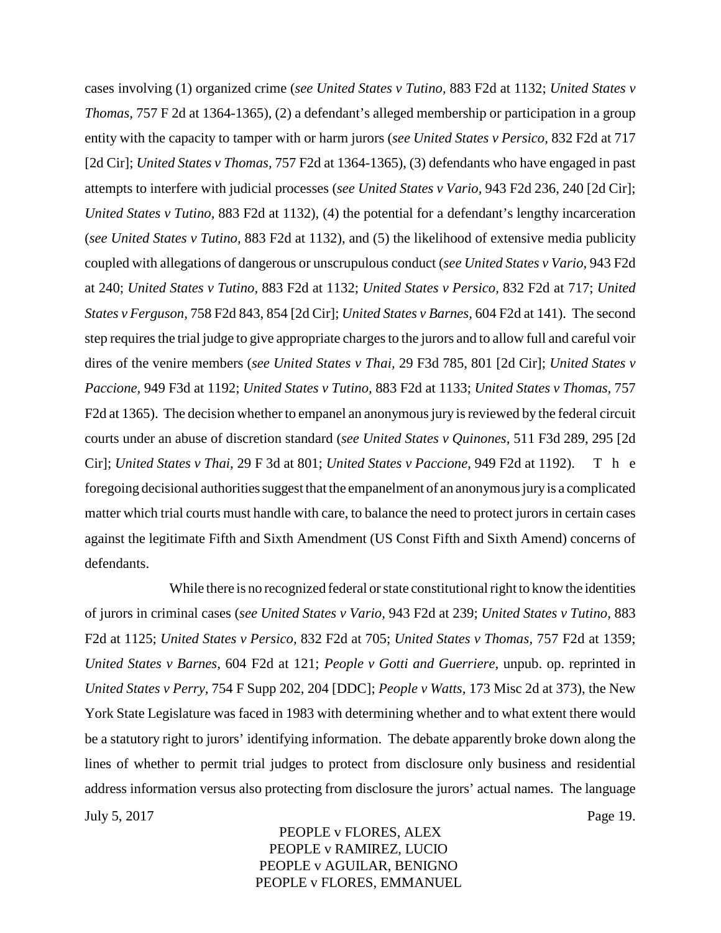cases involving (1) organized crime (*see United States v Tutino,* 883 F2d at 1132; *United States v Thomas,* 757 F 2d at 1364-1365), (2) a defendant's alleged membership or participation in a group entity with the capacity to tamper with or harm jurors (*see United States v Persico,* 832 F2d at 717 [2d Cir]; *United States v Thomas,* 757 F2d at 1364-1365), (3) defendants who have engaged in past attempts to interfere with judicial processes (*see United States v Vario,* 943 F2d 236, 240 [2d Cir]; *United States v Tutino,* 883 F2d at 1132), (4) the potential for a defendant's lengthy incarceration (*see United States v Tutino,* 883 F2d at 1132), and (5) the likelihood of extensive media publicity coupled with allegations of dangerous or unscrupulous conduct (*see United States v Vario,* 943 F2d at 240; *United States v Tutino,* 883 F2d at 1132; *United States v Persico,* 832 F2d at 717; *United States v Ferguson,* 758 F2d 843, 854 [2d Cir]; *United States v Barnes,* 604 F2d at 141). The second step requires the trial judge to give appropriate charges to the jurors and to allow full and careful voir dires of the venire members (*see United States v Thai,* 29 F3d 785, 801 [2d Cir]; *United States v Paccione,* 949 F3d at 1192; *United States v Tutino,* 883 F2d at 1133; *United States v Thomas,* 757 F2d at 1365). The decision whether to empanel an anonymous jury is reviewed by the federal circuit courts under an abuse of discretion standard (*see United States v Quinones,* 511 F3d 289, 295 [2d Cir]; *United States v Thai,* 29 F 3d at 801; *United States v Paccione,* 949 F2d at 1192). T h e foregoing decisional authorities suggest that the empanelment of an anonymous juryis a complicated matter which trial courts must handle with care, to balance the need to protect jurors in certain cases against the legitimate Fifth and Sixth Amendment (US Const Fifth and Sixth Amend) concerns of defendants.

While there is no recognized federal or state constitutional right to know the identities of jurors in criminal cases (*see United States v Vario,* 943 F2d at 239; *United States v Tutino,* 883 F2d at 1125; *United States v Persico,* 832 F2d at 705; *United States v Thomas,* 757 F2d at 1359; *United States v Barnes,* 604 F2d at 121; *People v Gotti and Guerriere,* unpub. op. reprinted in *United States v Perry,* 754 F Supp 202, 204 [DDC]; *People v Watts,* 173 Misc 2d at 373), the New York State Legislature was faced in 1983 with determining whether and to what extent there would be a statutory right to jurors' identifying information. The debate apparently broke down along the lines of whether to permit trial judges to protect from disclosure only business and residential address information versus also protecting from disclosure the jurors' actual names. The language July 5, 2017 Page 19.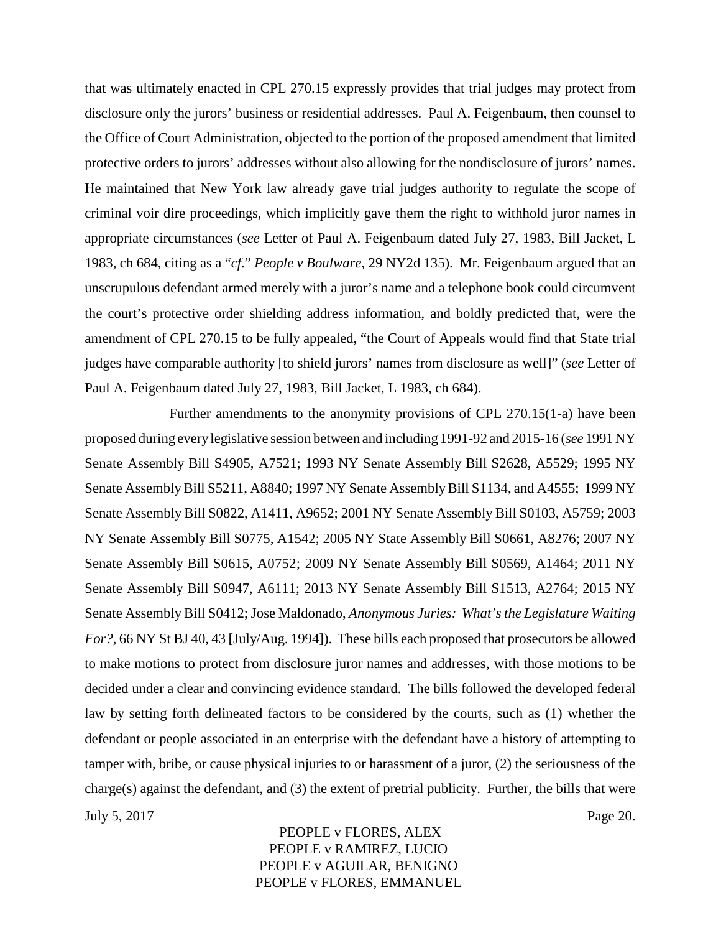that was ultimately enacted in CPL 270.15 expressly provides that trial judges may protect from disclosure only the jurors' business or residential addresses. Paul A. Feigenbaum, then counsel to the Office of Court Administration, objected to the portion of the proposed amendment that limited protective orders to jurors' addresses without also allowing for the nondisclosure of jurors' names. He maintained that New York law already gave trial judges authority to regulate the scope of criminal voir dire proceedings, which implicitly gave them the right to withhold juror names in appropriate circumstances (*see* Letter of Paul A. Feigenbaum dated July 27, 1983, Bill Jacket, L 1983, ch 684, citing as a "*cf*." *People v Boulware,* 29 NY2d 135). Mr. Feigenbaum argued that an unscrupulous defendant armed merely with a juror's name and a telephone book could circumvent the court's protective order shielding address information, and boldly predicted that, were the amendment of CPL 270.15 to be fully appealed, "the Court of Appeals would find that State trial judges have comparable authority [to shield jurors' names from disclosure as well]" (*see* Letter of Paul A. Feigenbaum dated July 27, 1983, Bill Jacket, L 1983, ch 684).

Further amendments to the anonymity provisions of CPL 270.15(1-a) have been proposed during everylegislative session between and including 1991-92 and 2015-16 (*see* 1991 NY Senate Assembly Bill S4905, A7521; 1993 NY Senate Assembly Bill S2628, A5529; 1995 NY Senate Assembly Bill S5211, A8840; 1997 NY Senate Assembly Bill S1134, and A4555; 1999 NY Senate Assembly Bill S0822, A1411, A9652; 2001 NY Senate Assembly Bill S0103, A5759; 2003 NY Senate Assembly Bill S0775, A1542; 2005 NY State Assembly Bill S0661, A8276; 2007 NY Senate Assembly Bill S0615, A0752; 2009 NY Senate Assembly Bill S0569, A1464; 2011 NY Senate Assembly Bill S0947, A6111; 2013 NY Senate Assembly Bill S1513, A2764; 2015 NY Senate Assembly Bill S0412; Jose Maldonado, *Anonymous Juries: What's the Legislature Waiting For?*, 66 NY St BJ 40, 43 [July/Aug. 1994]). These bills each proposed that prosecutors be allowed to make motions to protect from disclosure juror names and addresses, with those motions to be decided under a clear and convincing evidence standard. The bills followed the developed federal law by setting forth delineated factors to be considered by the courts, such as (1) whether the defendant or people associated in an enterprise with the defendant have a history of attempting to tamper with, bribe, or cause physical injuries to or harassment of a juror, (2) the seriousness of the charge(s) against the defendant, and (3) the extent of pretrial publicity. Further, the bills that were July 5, 2017 Page 20.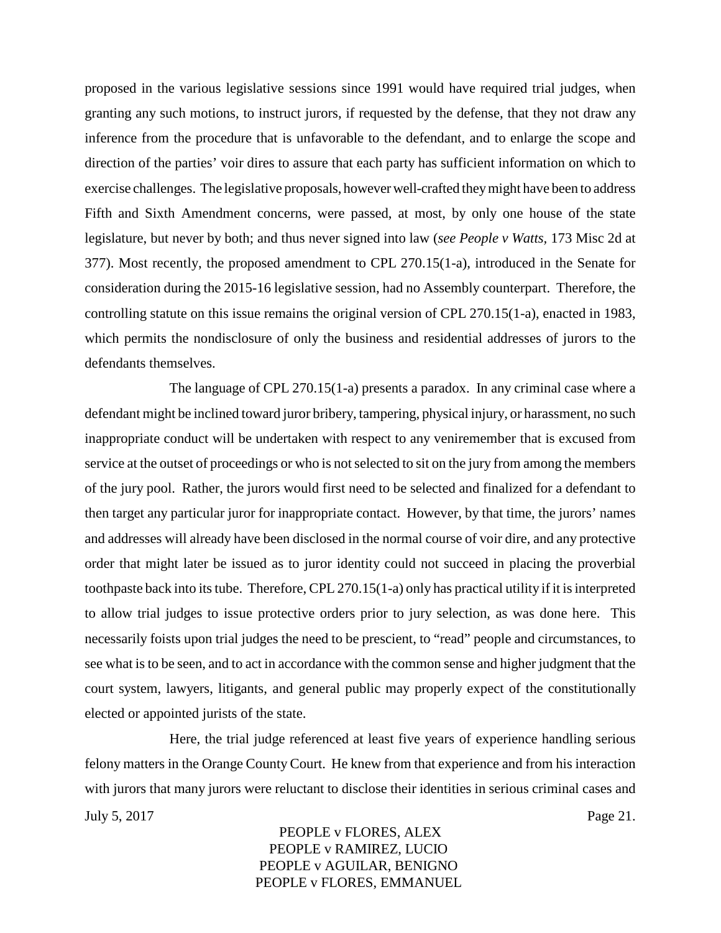proposed in the various legislative sessions since 1991 would have required trial judges, when granting any such motions, to instruct jurors, if requested by the defense, that they not draw any inference from the procedure that is unfavorable to the defendant, and to enlarge the scope and direction of the parties' voir dires to assure that each party has sufficient information on which to exercise challenges. The legislative proposals, however well-crafted theymight have been to address Fifth and Sixth Amendment concerns, were passed, at most, by only one house of the state legislature, but never by both; and thus never signed into law (*see People v Watts,* 173 Misc 2d at 377). Most recently, the proposed amendment to CPL 270.15(1-a), introduced in the Senate for consideration during the 2015-16 legislative session, had no Assembly counterpart. Therefore, the controlling statute on this issue remains the original version of CPL 270.15(1-a), enacted in 1983, which permits the nondisclosure of only the business and residential addresses of jurors to the defendants themselves.

The language of CPL 270.15(1-a) presents a paradox. In any criminal case where a defendant might be inclined toward juror bribery, tampering, physical injury, or harassment, no such inappropriate conduct will be undertaken with respect to any veniremember that is excused from service at the outset of proceedings or who is not selected to sit on the jury from among the members of the jury pool. Rather, the jurors would first need to be selected and finalized for a defendant to then target any particular juror for inappropriate contact. However, by that time, the jurors' names and addresses will already have been disclosed in the normal course of voir dire, and any protective order that might later be issued as to juror identity could not succeed in placing the proverbial toothpaste back into its tube. Therefore, CPL 270.15(1-a) only has practical utility if it is interpreted to allow trial judges to issue protective orders prior to jury selection, as was done here. This necessarily foists upon trial judges the need to be prescient, to "read" people and circumstances, to see what is to be seen, and to act in accordance with the common sense and higher judgment that the court system, lawyers, litigants, and general public may properly expect of the constitutionally elected or appointed jurists of the state.

Here, the trial judge referenced at least five years of experience handling serious felony matters in the Orange County Court. He knew from that experience and from his interaction with jurors that many jurors were reluctant to disclose their identities in serious criminal cases and July 5, 2017 Page 21.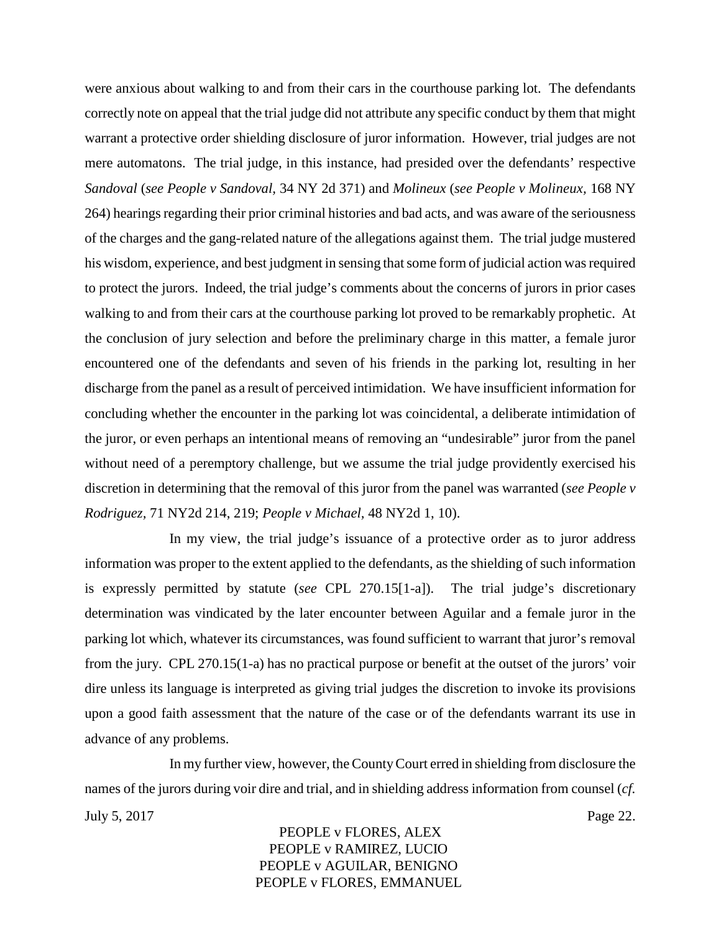were anxious about walking to and from their cars in the courthouse parking lot. The defendants correctly note on appeal that the trial judge did not attribute any specific conduct by them that might warrant a protective order shielding disclosure of juror information. However, trial judges are not mere automatons. The trial judge, in this instance, had presided over the defendants' respective *Sandoval* (*see People v Sandoval,* 34 NY 2d 371) and *Molineux* (*see People v Molineux,* 168 NY 264) hearings regarding their prior criminal histories and bad acts, and was aware of the seriousness of the charges and the gang-related nature of the allegations against them. The trial judge mustered his wisdom, experience, and best judgment in sensing that some form of judicial action was required to protect the jurors. Indeed, the trial judge's comments about the concerns of jurors in prior cases walking to and from their cars at the courthouse parking lot proved to be remarkably prophetic. At the conclusion of jury selection and before the preliminary charge in this matter, a female juror encountered one of the defendants and seven of his friends in the parking lot, resulting in her discharge from the panel as a result of perceived intimidation. We have insufficient information for concluding whether the encounter in the parking lot was coincidental, a deliberate intimidation of the juror, or even perhaps an intentional means of removing an "undesirable" juror from the panel without need of a peremptory challenge, but we assume the trial judge providently exercised his discretion in determining that the removal of this juror from the panel was warranted (*see People v Rodriguez,* 71 NY2d 214, 219; *People v Michael,* 48 NY2d 1, 10).

In my view, the trial judge's issuance of a protective order as to juror address information was proper to the extent applied to the defendants, as the shielding of such information is expressly permitted by statute (*see* CPL 270.15[1-a]). The trial judge's discretionary determination was vindicated by the later encounter between Aguilar and a female juror in the parking lot which, whatever its circumstances, was found sufficient to warrant that juror's removal from the jury. CPL 270.15(1-a) has no practical purpose or benefit at the outset of the jurors' voir dire unless its language is interpreted as giving trial judges the discretion to invoke its provisions upon a good faith assessment that the nature of the case or of the defendants warrant its use in advance of any problems.

In my further view, however, the County Court erred in shielding from disclosure the names of the jurors during voir dire and trial, and in shielding address information from counsel (*cf.* July 5, 2017 Page 22.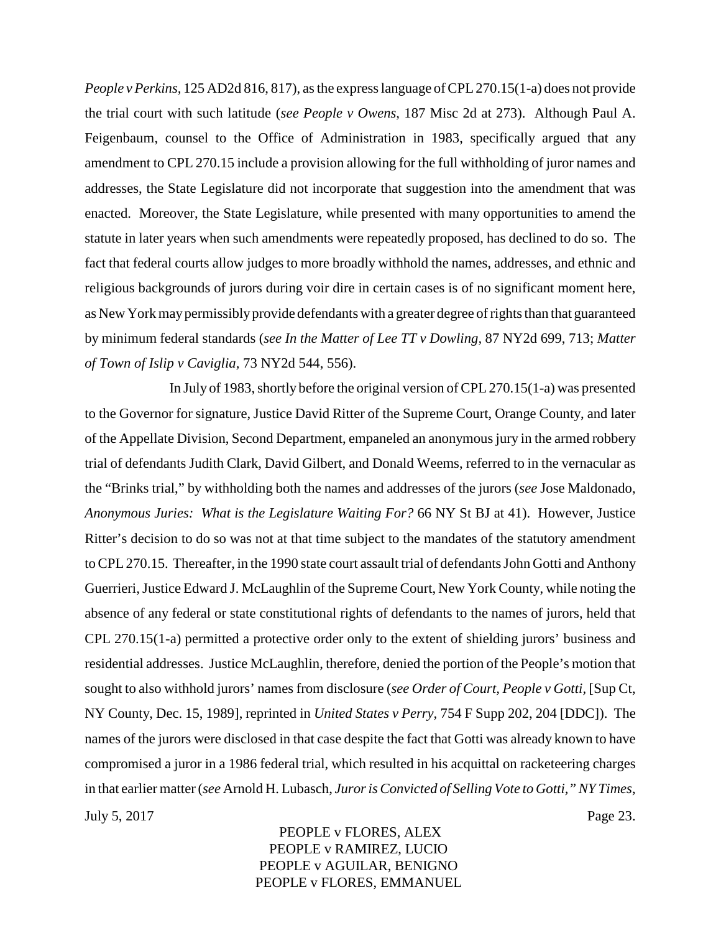*People v Perkins,* 125 AD2d 816, 817), as the express language of CPL 270.15(1-a) does not provide the trial court with such latitude (*see People v Owens,* 187 Misc 2d at 273). Although Paul A. Feigenbaum, counsel to the Office of Administration in 1983, specifically argued that any amendment to CPL 270.15 include a provision allowing for the full withholding of juror names and addresses, the State Legislature did not incorporate that suggestion into the amendment that was enacted. Moreover, the State Legislature, while presented with many opportunities to amend the statute in later years when such amendments were repeatedly proposed, has declined to do so. The fact that federal courts allow judges to more broadly withhold the names, addresses, and ethnic and religious backgrounds of jurors during voir dire in certain cases is of no significant moment here, as New York maypermissiblyprovide defendants with a greater degree of rights than that guaranteed by minimum federal standards (*see In the Matter of Lee TT v Dowling,* 87 NY2d 699, 713; *Matter of Town of Islip v Caviglia,* 73 NY2d 544, 556).

In July of 1983, shortly before the original version of CPL 270.15(1-a) was presented to the Governor for signature, Justice David Ritter of the Supreme Court, Orange County, and later of the Appellate Division, Second Department, empaneled an anonymous jury in the armed robbery trial of defendants Judith Clark, David Gilbert, and Donald Weems, referred to in the vernacular as the "Brinks trial," by withholding both the names and addresses of the jurors (*see* Jose Maldonado, *Anonymous Juries: What is the Legislature Waiting For?* 66 NY St BJ at 41). However, Justice Ritter's decision to do so was not at that time subject to the mandates of the statutory amendment to CPL 270.15. Thereafter, in the 1990 state court assault trial of defendants John Gotti and Anthony Guerrieri, Justice Edward J. McLaughlin of the Supreme Court, New York County, while noting the absence of any federal or state constitutional rights of defendants to the names of jurors, held that CPL 270.15(1-a) permitted a protective order only to the extent of shielding jurors' business and residential addresses. Justice McLaughlin, therefore, denied the portion of the People's motion that sought to also withhold jurors' names from disclosure (*see Order of Court, People v Gotti,* [Sup Ct, NY County, Dec. 15, 1989], reprinted in *United States v Perry,* 754 F Supp 202, 204 [DDC]). The names of the jurors were disclosed in that case despite the fact that Gotti was already known to have compromised a juror in a 1986 federal trial, which resulted in his acquittal on racketeering charges in that earlier matter (*see* Arnold H. Lubasch, *Juror is Convicted of Selling Vote to Gotti," NY Times*, July 5, 2017 Page 23.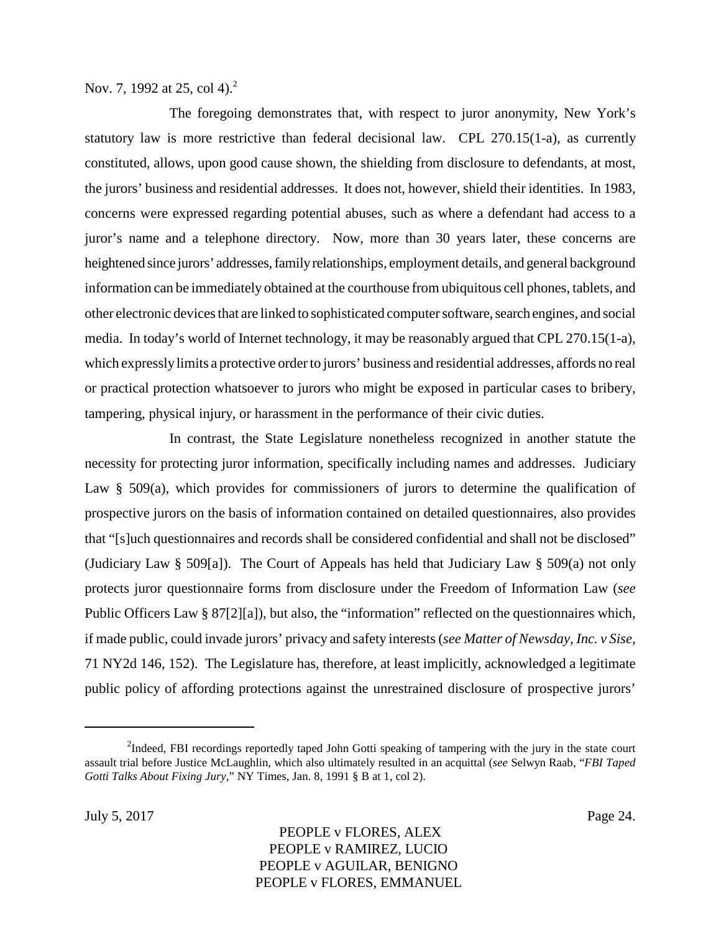Nov. 7, 1992 at 25, col 4).<sup>2</sup>

The foregoing demonstrates that, with respect to juror anonymity, New York's statutory law is more restrictive than federal decisional law. CPL 270.15(1-a), as currently constituted, allows, upon good cause shown, the shielding from disclosure to defendants, at most, the jurors' business and residential addresses. It does not, however, shield their identities. In 1983, concerns were expressed regarding potential abuses, such as where a defendant had access to a juror's name and a telephone directory. Now, more than 30 years later, these concerns are heightened since jurors' addresses, familyrelationships, employment details, and general background information can be immediately obtained at the courthouse from ubiquitous cell phones, tablets, and other electronic devices that are linked to sophisticated computer software, search engines, and social media. In today's world of Internet technology, it may be reasonably argued that CPL 270.15(1-a), which expresslylimits a protective order to jurors' business and residential addresses, affords no real or practical protection whatsoever to jurors who might be exposed in particular cases to bribery, tampering, physical injury, or harassment in the performance of their civic duties.

In contrast, the State Legislature nonetheless recognized in another statute the necessity for protecting juror information, specifically including names and addresses. Judiciary Law § 509(a), which provides for commissioners of jurors to determine the qualification of prospective jurors on the basis of information contained on detailed questionnaires, also provides that "[s]uch questionnaires and records shall be considered confidential and shall not be disclosed" (Judiciary Law § 509[a]). The Court of Appeals has held that Judiciary Law § 509(a) not only protects juror questionnaire forms from disclosure under the Freedom of Information Law (*see* Public Officers Law § 87[2][a]), but also, the "information" reflected on the questionnaires which, if made public, could invade jurors' privacy and safety interests (*see Matter of Newsday, Inc. v Sise,* 71 NY2d 146, 152). The Legislature has, therefore, at least implicitly, acknowledged a legitimate public policy of affording protections against the unrestrained disclosure of prospective jurors'

<sup>&</sup>lt;sup>2</sup>Indeed, FBI recordings reportedly taped John Gotti speaking of tampering with the jury in the state court assault trial before Justice McLaughlin, which also ultimately resulted in an acquittal (*see* Selwyn Raab, "*FBI Taped Gotti Talks About Fixing Jury,*" NY Times, Jan. 8, 1991 § B at 1, col 2).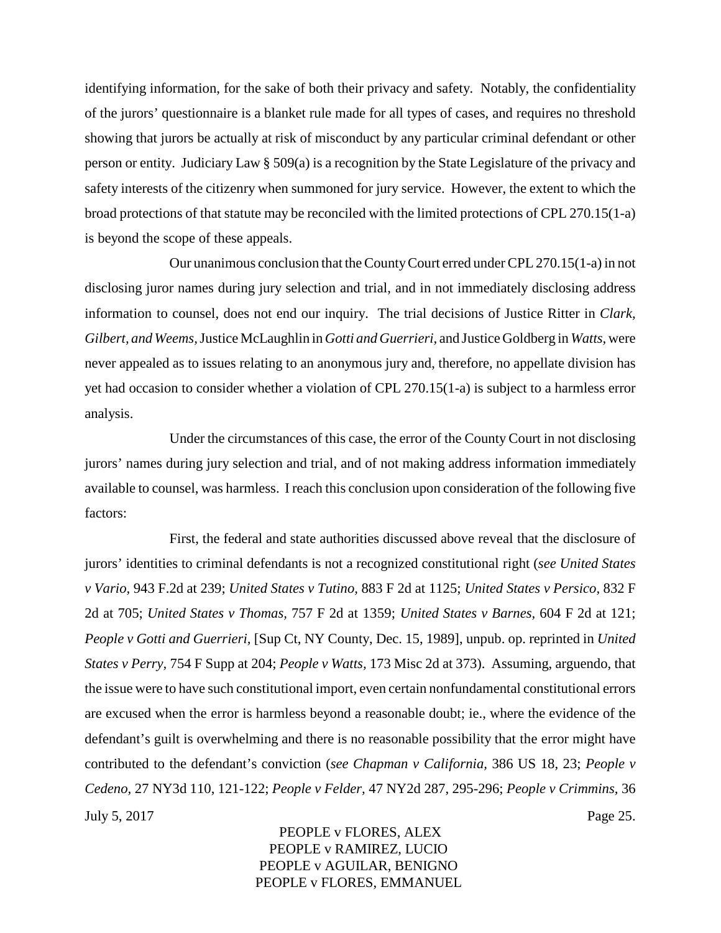identifying information, for the sake of both their privacy and safety. Notably, the confidentiality of the jurors' questionnaire is a blanket rule made for all types of cases, and requires no threshold showing that jurors be actually at risk of misconduct by any particular criminal defendant or other person or entity. Judiciary Law  $\S 509(a)$  is a recognition by the State Legislature of the privacy and safety interests of the citizenry when summoned for jury service. However, the extent to which the broad protections of that statute may be reconciled with the limited protections of CPL 270.15(1-a) is beyond the scope of these appeals.

Our unanimous conclusion that the County Court erred under CPL 270.15(1-a) in not disclosing juror names during jury selection and trial, and in not immediately disclosing address information to counsel, does not end our inquiry. The trial decisions of Justice Ritter in *Clark, Gilbert, and Weems,*Justice McLaughlin in *Gotti and Guerrieri,* and Justice Goldberg in *Watts,* were never appealed as to issues relating to an anonymous jury and, therefore, no appellate division has yet had occasion to consider whether a violation of CPL 270.15(1-a) is subject to a harmless error analysis.

Under the circumstances of this case, the error of the County Court in not disclosing jurors' names during jury selection and trial, and of not making address information immediately available to counsel, was harmless. I reach this conclusion upon consideration of the following five factors:

First, the federal and state authorities discussed above reveal that the disclosure of jurors' identities to criminal defendants is not a recognized constitutional right (*see United States v Vario,* 943 F.2d at 239; *United States v Tutino,* 883 F 2d at 1125; *United States v Persico,* 832 F 2d at 705; *United States v Thomas,* 757 F 2d at 1359; *United States v Barnes,* 604 F 2d at 121; *People v Gotti and Guerrieri,* [Sup Ct, NY County, Dec. 15, 1989], unpub. op. reprinted in *United States v Perry,* 754 F Supp at 204; *People v Watts,* 173 Misc 2d at 373). Assuming, arguendo, that the issue were to have such constitutional import, even certain nonfundamental constitutional errors are excused when the error is harmless beyond a reasonable doubt; ie., where the evidence of the defendant's guilt is overwhelming and there is no reasonable possibility that the error might have contributed to the defendant's conviction (*see Chapman v California,* 386 US 18, 23; *People v Cedeno,* 27 NY3d 110, 121-122; *People v Felder,* 47 NY2d 287, 295-296; *People v Crimmins,* 36 July 5, 2017 Page 25.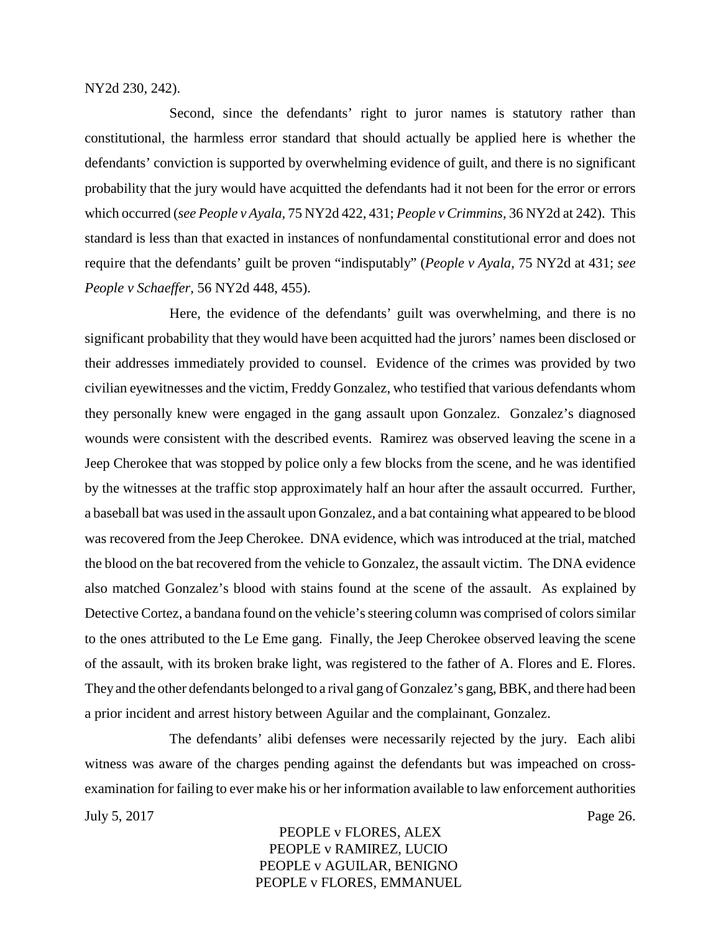NY2d 230, 242).

Second, since the defendants' right to juror names is statutory rather than constitutional, the harmless error standard that should actually be applied here is whether the defendants' conviction is supported by overwhelming evidence of guilt, and there is no significant probability that the jury would have acquitted the defendants had it not been for the error or errors which occurred (*see People v Ayala,* 75 NY2d 422, 431; *People v Crimmins,* 36 NY2d at 242). This standard is less than that exacted in instances of nonfundamental constitutional error and does not require that the defendants' guilt be proven "indisputably" (*People v Ayala,* 75 NY2d at 431; *see People v Schaeffer,* 56 NY2d 448, 455).

Here, the evidence of the defendants' guilt was overwhelming, and there is no significant probability that they would have been acquitted had the jurors' names been disclosed or their addresses immediately provided to counsel. Evidence of the crimes was provided by two civilian eyewitnesses and the victim, Freddy Gonzalez, who testified that various defendants whom they personally knew were engaged in the gang assault upon Gonzalez. Gonzalez's diagnosed wounds were consistent with the described events. Ramirez was observed leaving the scene in a Jeep Cherokee that was stopped by police only a few blocks from the scene, and he was identified by the witnesses at the traffic stop approximately half an hour after the assault occurred. Further, a baseball bat was used in the assault upon Gonzalez, and a bat containing what appeared to be blood was recovered from the Jeep Cherokee. DNA evidence, which was introduced at the trial, matched the blood on the bat recovered from the vehicle to Gonzalez, the assault victim. The DNA evidence also matched Gonzalez's blood with stains found at the scene of the assault. As explained by Detective Cortez, a bandana found on the vehicle's steering column was comprised of colors similar to the ones attributed to the Le Eme gang. Finally, the Jeep Cherokee observed leaving the scene of the assault, with its broken brake light, was registered to the father of A. Flores and E. Flores. They and the other defendants belonged to a rival gang of Gonzalez's gang, BBK, and there had been a prior incident and arrest history between Aguilar and the complainant, Gonzalez.

The defendants' alibi defenses were necessarily rejected by the jury. Each alibi witness was aware of the charges pending against the defendants but was impeached on crossexamination for failing to ever make his or her information available to law enforcement authorities July 5, 2017 Page 26.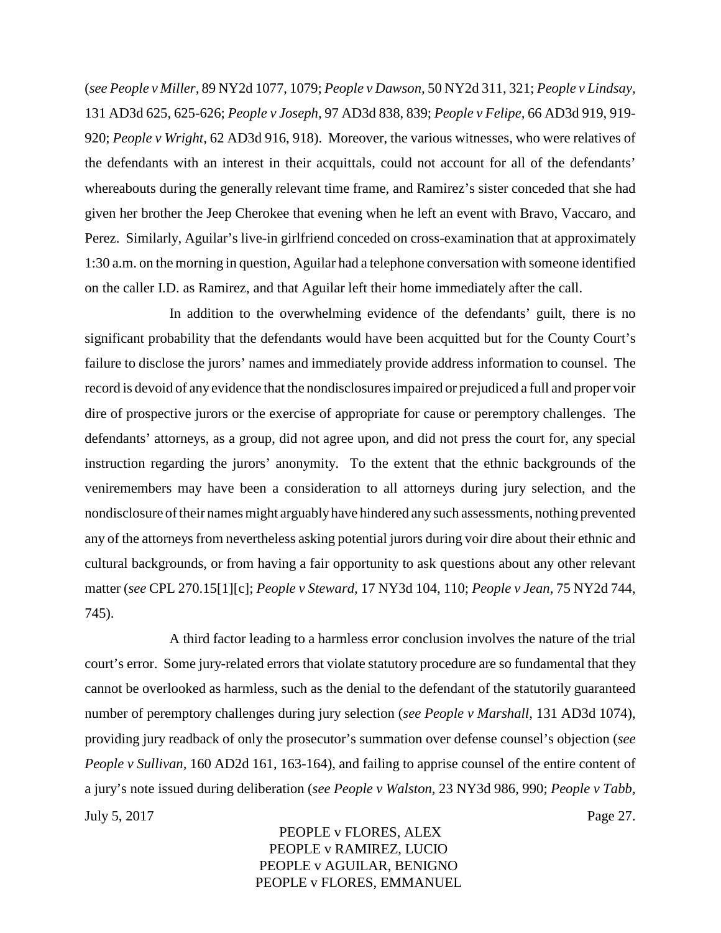(*see People v Miller,* 89 NY2d 1077, 1079; *People v Dawson,* 50 NY2d 311, 321; *People v Lindsay,* 131 AD3d 625, 625-626; *People v Joseph,* 97 AD3d 838, 839; *People v Felipe,* 66 AD3d 919, 919- 920; *People v Wright,* 62 AD3d 916, 918). Moreover, the various witnesses, who were relatives of the defendants with an interest in their acquittals, could not account for all of the defendants' whereabouts during the generally relevant time frame, and Ramirez's sister conceded that she had given her brother the Jeep Cherokee that evening when he left an event with Bravo, Vaccaro, and Perez. Similarly, Aguilar's live-in girlfriend conceded on cross-examination that at approximately 1:30 a.m. on the morning in question, Aguilar had a telephone conversation with someone identified on the caller I.D. as Ramirez, and that Aguilar left their home immediately after the call.

In addition to the overwhelming evidence of the defendants' guilt, there is no significant probability that the defendants would have been acquitted but for the County Court's failure to disclose the jurors' names and immediately provide address information to counsel. The record is devoid of any evidence that the nondisclosures impaired or prejudiced a full and proper voir dire of prospective jurors or the exercise of appropriate for cause or peremptory challenges. The defendants' attorneys, as a group, did not agree upon, and did not press the court for, any special instruction regarding the jurors' anonymity. To the extent that the ethnic backgrounds of the veniremembers may have been a consideration to all attorneys during jury selection, and the nondisclosure of their names might arguablyhave hindered anysuch assessments, nothing prevented any of the attorneys from nevertheless asking potential jurors during voir dire about their ethnic and cultural backgrounds, or from having a fair opportunity to ask questions about any other relevant matter (*see* CPL 270.15[1][c]; *People v Steward,* 17 NY3d 104, 110; *People v Jean,* 75 NY2d 744, 745).

A third factor leading to a harmless error conclusion involves the nature of the trial court's error. Some jury-related errors that violate statutory procedure are so fundamental that they cannot be overlooked as harmless, such as the denial to the defendant of the statutorily guaranteed number of peremptory challenges during jury selection (*see People v Marshall,* 131 AD3d 1074), providing jury readback of only the prosecutor's summation over defense counsel's objection (*see People v Sullivan,* 160 AD2d 161, 163-164), and failing to apprise counsel of the entire content of a jury's note issued during deliberation (*see People v Walston,* 23 NY3d 986, 990; *People v Tabb,* July 5, 2017 Page 27.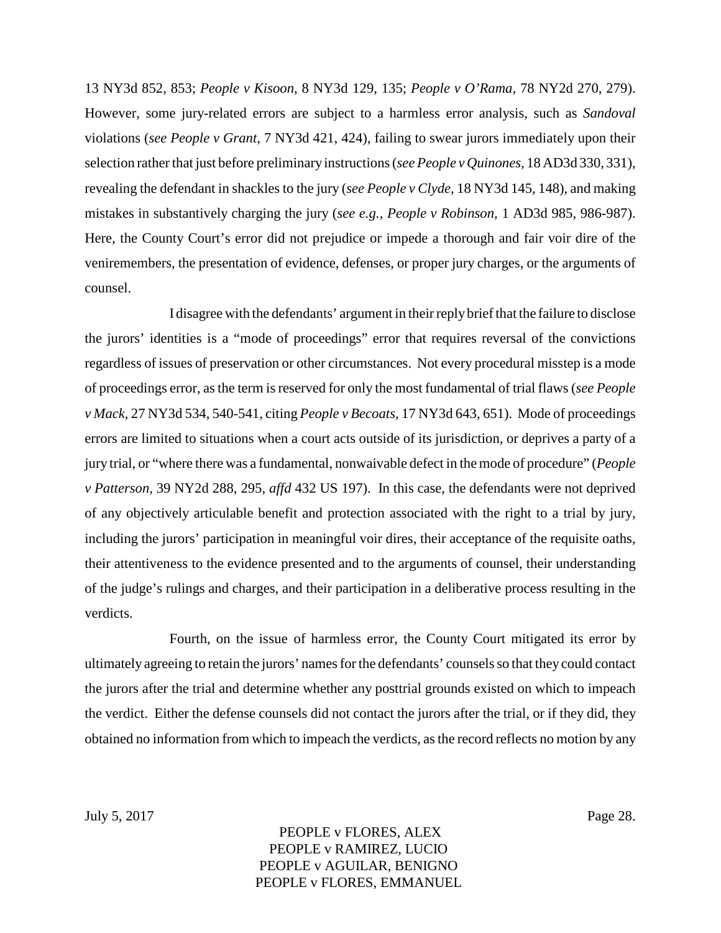13 NY3d 852, 853; *People v Kisoon,* 8 NY3d 129, 135; *People v O'Rama,* 78 NY2d 270, 279). However, some jury-related errors are subject to a harmless error analysis, such as *Sandoval* violations (*see People v Grant,* 7 NY3d 421, 424), failing to swear jurors immediately upon their selection rather that just before preliminary instructions (*see People v Quinones,* 18 AD3d 330, 331), revealing the defendant in shackles to the jury (*see People v Clyde,* 18 NY3d 145, 148), and making mistakes in substantively charging the jury (*see e.g., People v Robinson,* 1 AD3d 985, 986-987). Here, the County Court's error did not prejudice or impede a thorough and fair voir dire of the veniremembers, the presentation of evidence, defenses, or proper jury charges, or the arguments of counsel.

I disagree with the defendants' argument in their replybrief that the failure to disclose the jurors' identities is a "mode of proceedings" error that requires reversal of the convictions regardless of issues of preservation or other circumstances. Not every procedural misstep is a mode of proceedings error, as the term is reserved for only the most fundamental of trial flaws (*see People v Mack,* 27 NY3d 534, 540-541, citing *People v Becoats,* 17 NY3d 643, 651). Mode of proceedings errors are limited to situations when a court acts outside of its jurisdiction, or deprives a party of a jury trial, or "where there was a fundamental, nonwaivable defect in the mode of procedure" (*People v Patterson,* 39 NY2d 288, 295, *affd* 432 US 197). In this case, the defendants were not deprived of any objectively articulable benefit and protection associated with the right to a trial by jury, including the jurors' participation in meaningful voir dires, their acceptance of the requisite oaths, their attentiveness to the evidence presented and to the arguments of counsel, their understanding of the judge's rulings and charges, and their participation in a deliberative process resulting in the verdicts.

Fourth, on the issue of harmless error, the County Court mitigated its error by ultimately agreeing to retain the jurors' names for the defendants' counsels so that they could contact the jurors after the trial and determine whether any posttrial grounds existed on which to impeach the verdict. Either the defense counsels did not contact the jurors after the trial, or if they did, they obtained no information from which to impeach the verdicts, as the record reflects no motion by any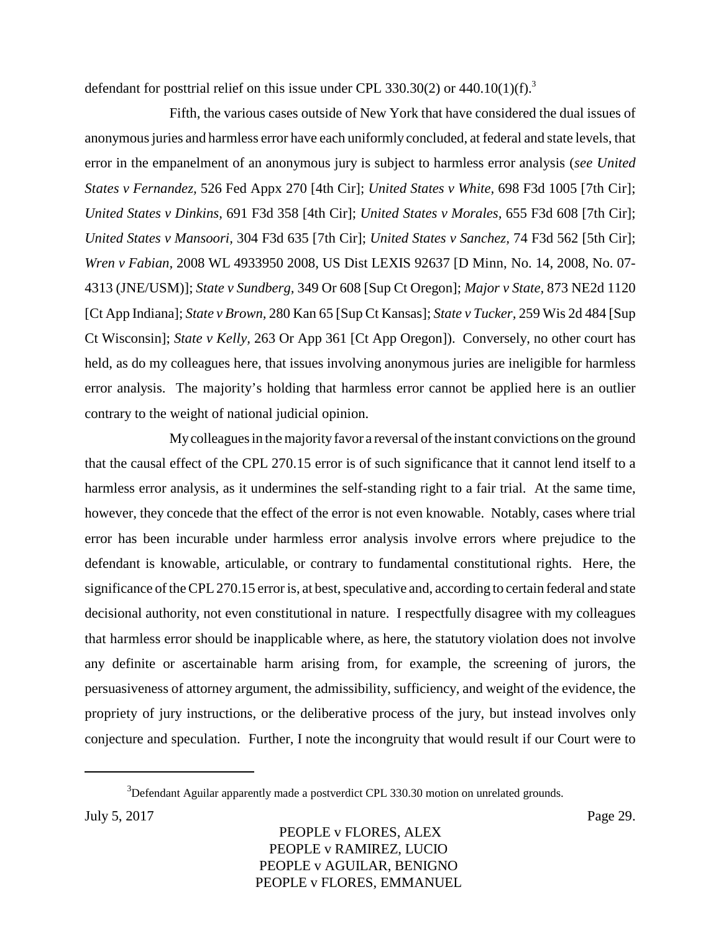defendant for posttrial relief on this issue under CPL 330.30(2) or 440.10(1)(f).<sup>3</sup>

Fifth, the various cases outside of New York that have considered the dual issues of anonymous juries and harmless error have each uniformly concluded, at federal and state levels, that error in the empanelment of an anonymous jury is subject to harmless error analysis (*see United States v Fernandez,* 526 Fed Appx 270 [4th Cir]; *United States v White,* 698 F3d 1005 [7th Cir]; *United States v Dinkins,* 691 F3d 358 [4th Cir]; *United States v Morales,* 655 F3d 608 [7th Cir]; *United States v Mansoori,* 304 F3d 635 [7th Cir]; *United States v Sanchez,* 74 F3d 562 [5th Cir]; *Wren v Fabian,* 2008 WL 4933950 2008, US Dist LEXIS 92637 [D Minn, No. 14, 2008, No. 07- 4313 (JNE/USM)]; *State v Sundberg,* 349 Or 608 [Sup Ct Oregon]; *Major v State,* 873 NE2d 1120 [Ct App Indiana]; *State v Brown,* 280 Kan 65 [Sup Ct Kansas]; *State v Tucker,* 259 Wis 2d 484 [Sup Ct Wisconsin]; *State v Kelly,* 263 Or App 361 [Ct App Oregon]). Conversely, no other court has held, as do my colleagues here, that issues involving anonymous juries are ineligible for harmless error analysis. The majority's holding that harmless error cannot be applied here is an outlier contrary to the weight of national judicial opinion.

Mycolleagues in the majorityfavor a reversal of the instant convictions on the ground that the causal effect of the CPL 270.15 error is of such significance that it cannot lend itself to a harmless error analysis, as it undermines the self-standing right to a fair trial. At the same time, however, they concede that the effect of the error is not even knowable. Notably, cases where trial error has been incurable under harmless error analysis involve errors where prejudice to the defendant is knowable, articulable, or contrary to fundamental constitutional rights. Here, the significance of the CPL 270.15 error is, at best, speculative and, according to certain federal and state decisional authority, not even constitutional in nature. I respectfully disagree with my colleagues that harmless error should be inapplicable where, as here, the statutory violation does not involve any definite or ascertainable harm arising from, for example, the screening of jurors, the persuasiveness of attorney argument, the admissibility, sufficiency, and weight of the evidence, the propriety of jury instructions, or the deliberative process of the jury, but instead involves only conjecture and speculation. Further, I note the incongruity that would result if our Court were to

 $3$ Defendant Aguilar apparently made a postverdict CPL 330.30 motion on unrelated grounds.

July 5, 2017 Page 29.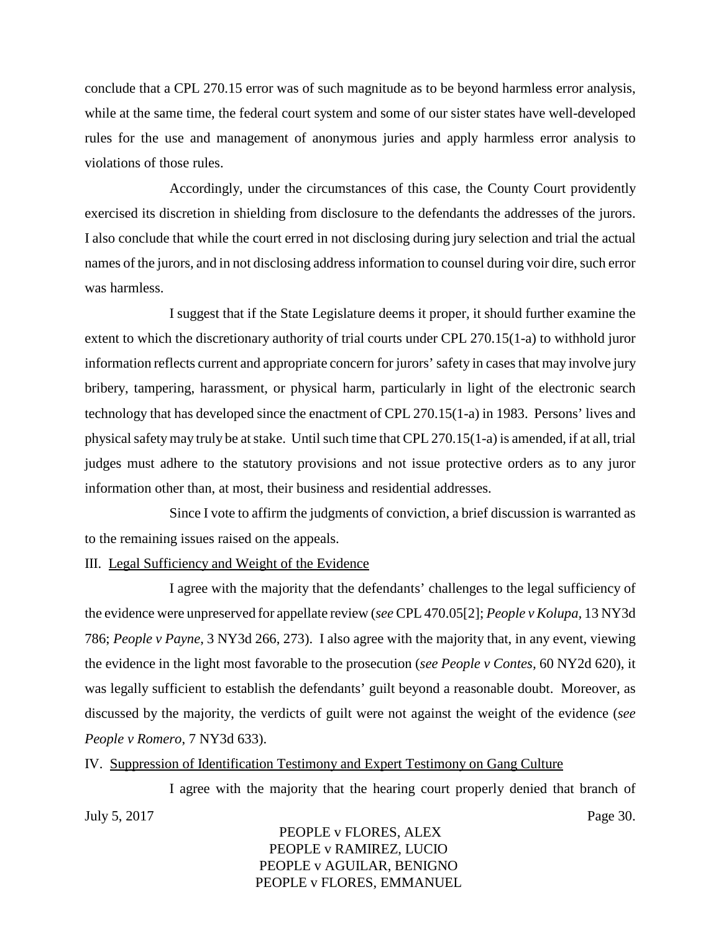conclude that a CPL 270.15 error was of such magnitude as to be beyond harmless error analysis, while at the same time, the federal court system and some of our sister states have well-developed rules for the use and management of anonymous juries and apply harmless error analysis to violations of those rules.

Accordingly, under the circumstances of this case, the County Court providently exercised its discretion in shielding from disclosure to the defendants the addresses of the jurors. I also conclude that while the court erred in not disclosing during jury selection and trial the actual names of the jurors, and in not disclosing address information to counsel during voir dire, such error was harmless.

I suggest that if the State Legislature deems it proper, it should further examine the extent to which the discretionary authority of trial courts under CPL 270.15(1-a) to withhold juror information reflects current and appropriate concern for jurors' safety in cases that may involve jury bribery, tampering, harassment, or physical harm, particularly in light of the electronic search technology that has developed since the enactment of CPL 270.15(1-a) in 1983. Persons' lives and physical safety may truly be at stake. Until such time that CPL 270.15(1-a) is amended, if at all, trial judges must adhere to the statutory provisions and not issue protective orders as to any juror information other than, at most, their business and residential addresses.

Since I vote to affirm the judgments of conviction, a brief discussion is warranted as to the remaining issues raised on the appeals.

#### III. Legal Sufficiency and Weight of the Evidence

I agree with the majority that the defendants' challenges to the legal sufficiency of the evidence were unpreserved for appellate review (*see* CPL 470.05[2]; *People v Kolupa,* 13 NY3d 786; *People v Payne*, 3 NY3d 266, 273). I also agree with the majority that, in any event, viewing the evidence in the light most favorable to the prosecution (*see People v Contes,* 60 NY2d 620), it was legally sufficient to establish the defendants' guilt beyond a reasonable doubt. Moreover, as discussed by the majority, the verdicts of guilt were not against the weight of the evidence (*see People v Romero*, 7 NY3d 633).

IV. Suppression of Identification Testimony and Expert Testimony on Gang Culture

I agree with the majority that the hearing court properly denied that branch of July 5, 2017 Page 30.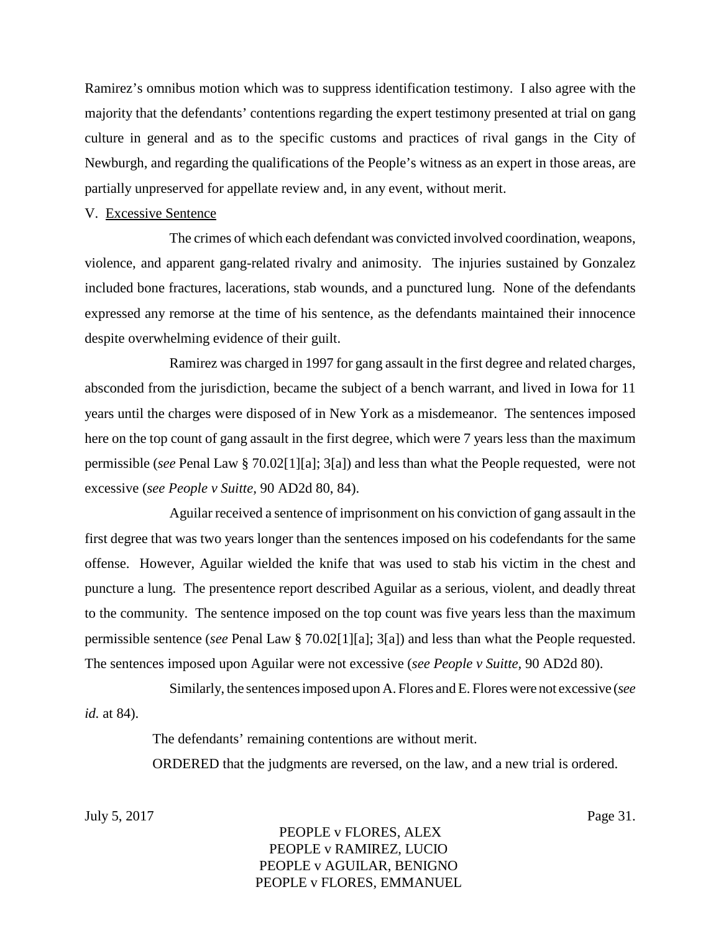Ramirez's omnibus motion which was to suppress identification testimony. I also agree with the majority that the defendants' contentions regarding the expert testimony presented at trial on gang culture in general and as to the specific customs and practices of rival gangs in the City of Newburgh, and regarding the qualifications of the People's witness as an expert in those areas, are partially unpreserved for appellate review and, in any event, without merit.

#### V. Excessive Sentence

The crimes of which each defendant was convicted involved coordination, weapons, violence, and apparent gang-related rivalry and animosity. The injuries sustained by Gonzalez included bone fractures, lacerations, stab wounds, and a punctured lung. None of the defendants expressed any remorse at the time of his sentence, as the defendants maintained their innocence despite overwhelming evidence of their guilt.

Ramirez was charged in 1997 for gang assault in the first degree and related charges, absconded from the jurisdiction, became the subject of a bench warrant, and lived in Iowa for 11 years until the charges were disposed of in New York as a misdemeanor. The sentences imposed here on the top count of gang assault in the first degree, which were 7 years less than the maximum permissible (*see* Penal Law § 70.02[1][a]; 3[a]) and less than what the People requested, were not excessive (*see People v Suitte,* 90 AD2d 80, 84).

Aguilar received a sentence of imprisonment on his conviction of gang assault in the first degree that was two years longer than the sentences imposed on his codefendants for the same offense. However, Aguilar wielded the knife that was used to stab his victim in the chest and puncture a lung. The presentence report described Aguilar as a serious, violent, and deadly threat to the community. The sentence imposed on the top count was five years less than the maximum permissible sentence (*see* Penal Law § 70.02[1][a]; 3[a]) and less than what the People requested. The sentences imposed upon Aguilar were not excessive (*see People v Suitte,* 90 AD2d 80).

Similarly, the sentences imposed upon A. Flores and E. Flores were not excessive (*see id.* at 84).

The defendants' remaining contentions are without merit.

ORDERED that the judgments are reversed, on the law, and a new trial is ordered.

July 5, 2017 Page 31.